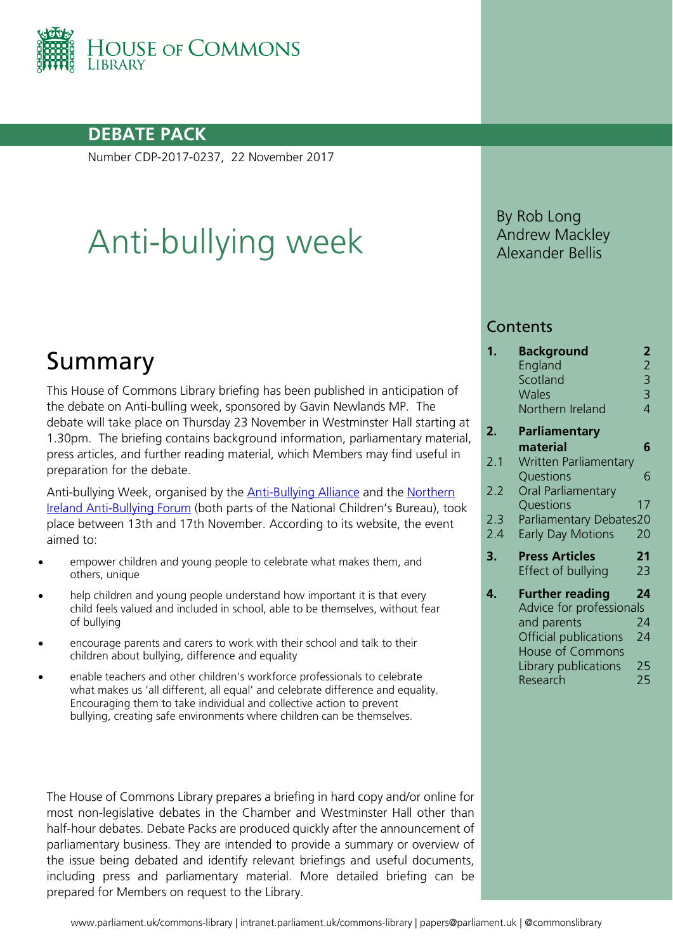

## **DEBATE PACK**

Number CDP-2017-0237, 22 November 2017

# Anti-bullying week

## Summary

This House of Commons Library briefing has been published in anticipation of the debate on Anti-bulling week, sponsored by Gavin Newlands MP. The debate will take place on Thursday 23 November in Westminster Hall starting at 1.30pm. The briefing contains background information, parliamentary material, press articles, and further reading material, which Members may find useful in preparation for the debate.

Anti-bullying Week, organised by the **Anti-Bullying Alliance and the Northern** [Ireland Anti-Bullying Forum](http://www.endbullying.org.uk/anti-bullying-week/) (both parts of the National Children's Bureau), took place between 13th and 17th November. According to its website, the event aimed to:

- empower children and young people to celebrate what makes them, and others, unique
- help children and young people understand how important it is that every child feels valued and included in school, able to be themselves, without fear of bullying
- encourage parents and carers to work with their school and talk to their children about bullying, difference and equality
- enable teachers and other children's workforce professionals to celebrate what makes us 'all different, all equal' and celebrate difference and equality. Encouraging them to take individual and collective action to prevent bullying, creating safe environments where children can be themselves.

The House of Commons Library prepares a briefing in hard copy and/or online for most non-legislative debates in the Chamber and Westminster Hall other than half-hour debates. Debate Packs are produced quickly after the announcement of parliamentary business. They are intended to provide a summary or overview of the issue being debated and identify relevant briefings and useful documents, including press and parliamentary material. More detailed briefing can be prepared for Members on request to the Library.

By Rob Long Andrew Mackley Alexander Bellis

#### **Contents**

| 1.  | Background<br>England<br>Scotland<br><b>Wales</b><br>Northern Ireland | 2<br>$\begin{array}{c} 2 \\ 3 \\ 3 \end{array}$<br>$\overline{4}$ |
|-----|-----------------------------------------------------------------------|-------------------------------------------------------------------|
| 2.  | <b>Parliamentary</b>                                                  |                                                                   |
|     | material                                                              | 6                                                                 |
| 2.1 | <b>Written Parliamentary</b><br>Questions                             | 6                                                                 |
| 2.2 | <b>Oral Parliamentary</b>                                             |                                                                   |
|     | Questions                                                             | 17                                                                |
| 2.3 | Parliamentary Debates20                                               |                                                                   |
| 2.4 | <b>Early Day Motions</b>                                              | 20                                                                |
| 3.  | <b>Press Articles</b>                                                 | 21                                                                |
|     | Effect of bullying                                                    | 23                                                                |
| 4.  | <b>Further reading</b>                                                | 24                                                                |
|     | Advice for professionals                                              |                                                                   |
|     | and parents                                                           | 24                                                                |
|     | Official publications                                                 | 24                                                                |
|     | <b>House of Commons</b>                                               |                                                                   |
|     | Library publications                                                  | 25                                                                |
|     | Research                                                              | 25                                                                |
|     |                                                                       |                                                                   |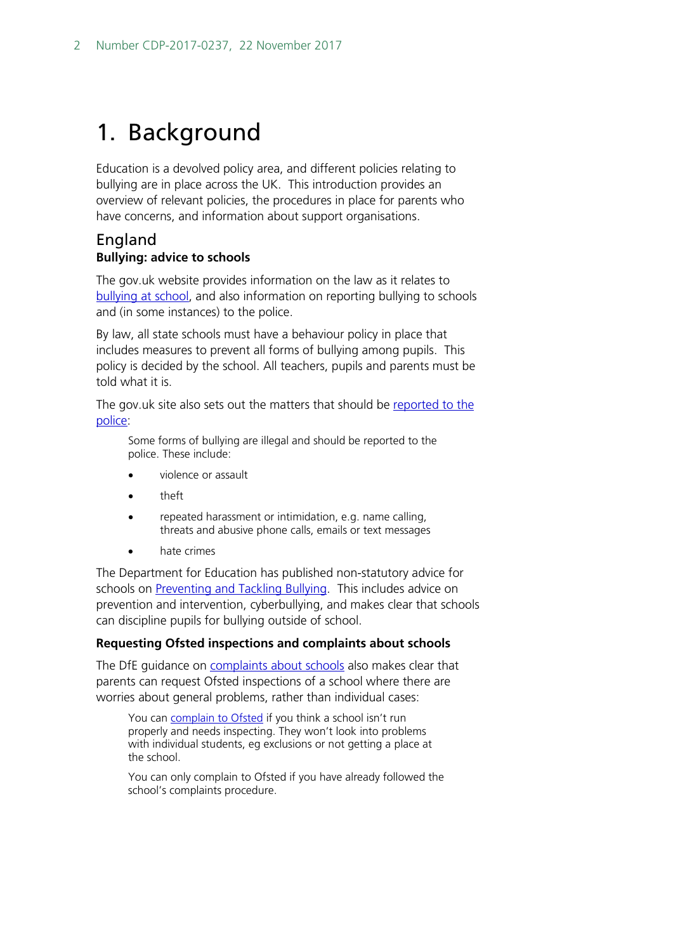## <span id="page-1-0"></span>1. Background

Education is a devolved policy area, and different policies relating to bullying are in place across the UK. This introduction provides an overview of relevant policies, the procedures in place for parents who have concerns, and information about support organisations.

### <span id="page-1-1"></span>England **Bullying: advice to schools**

The gov.uk website provides information on the law as it relates to [bullying at](https://www.gov.uk/bullying-at-school/the-law) school, and also information on reporting bullying to schools and (in some instances) to the police.

By law, all state schools must have a behaviour policy in place that includes measures to prevent all forms of bullying among pupils. This policy is decided by the school. All teachers, pupils and parents must be told what it is.

The gov.uk site also sets out the matters that should be [reported to the](https://www.gov.uk/bullying-at-school/the-law)  [police:](https://www.gov.uk/bullying-at-school/the-law)

Some forms of bullying are illegal and should be reported to the police. These include:

- violence or assault
- theft
- repeated harassment or intimidation, e.g. name calling, threats and abusive phone calls, emails or text messages
- hate crimes

The Department for Education has published non-statutory advice for schools on [Preventing and Tackling Bullying.](https://www.gov.uk/government/uploads/system/uploads/attachment_data/file/444862/Preventing_and_tackling_bullying_advice.pdf) This includes advice on prevention and intervention, cyberbullying, and makes clear that schools can discipline pupils for bullying outside of school.

#### **Requesting Ofsted inspections and complaints about schools**

The DfE guidance on [complaints about schools](https://www.gov.uk/complain-about-school/state-schools) also makes clear that parents can request Ofsted inspections of a school where there are worries about general problems, rather than individual cases:

You can [complain to](https://contact.ofsted.gov.uk/onlinecomplaints) Ofsted if you think a school isn't run properly and needs inspecting. They won't look into problems with individual students, eg exclusions or not getting a place at the school.

You can only complain to Ofsted if you have already followed the school's complaints procedure.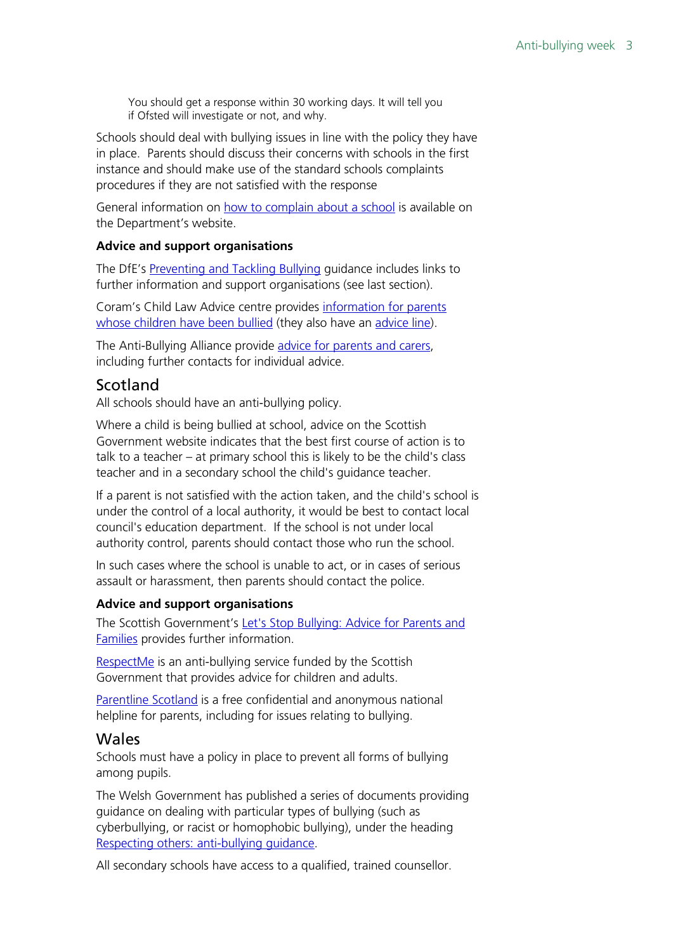You should get a response within 30 working days. It will tell you if Ofsted will investigate or not, and why.

Schools should deal with bullying issues in line with the policy they have in place. Parents should discuss their concerns with schools in the first instance and should make use of the standard schools complaints procedures if they are not satisfied with the response

General information on [how to complain about a school](https://www.gov.uk/complain-about-school) is available on the Department's website.

#### **Advice and support organisations**

The DfE's [Preventing and Tackling Bullying](https://www.gov.uk/government/uploads/system/uploads/attachment_data/file/444862/Preventing_and_tackling_bullying_advice.pdf) guidance includes links to further information and support organisations (see last section).

Coram's Child Law Advice centre provides [information for parents](http://childlawadvice.org.uk/information-pages/bullying/)  [whose children have been bullied](http://childlawadvice.org.uk/information-pages/bullying/) (they also have an [advice line\)](http://childlawadvice.org.uk/clas/contact-child-law-advice/).

The Anti-Bullying Alliance provide [advice for parents and carers,](http://www.anti-bullyingalliance.org.uk/advice/parents-carers/) including further contacts for individual advice.

### <span id="page-2-0"></span>Scotland

All schools should have an anti-bullying policy.

Where a child is being bullied at school, advice on the Scottish Government website indicates that the best first course of action is to talk to a teacher – at primary school this is likely to be the child's class teacher and in a secondary school the child's guidance teacher.

If a parent is not satisfied with the action taken, and the child's school is under the control of a local authority, it would be best to contact local council's education department. If the school is not under local authority control, parents should contact those who run the school.

In such cases where the school is unable to act, or in cases of serious assault or harassment, then parents should contact the police.

#### **Advice and support organisations**

The Scottish Government's Let's Stop Bullying: Advice for Parents and [Families](http://www.gov.scot/Publications/1999/10/StopBullying) provides further information.

[RespectMe](http://respectme.org.uk/) is an anti-bullying service funded by the Scottish Government that provides advice for children and adults.

[Parentline Scotland](https://www.children1st.org.uk/what-we-do/how-we-help/parentline-scotland/) is a free confidential and anonymous national helpline for parents, including for issues relating to bullying.

#### <span id="page-2-1"></span>Wales

Schools must have a policy in place to prevent all forms of bullying among pupils.

The Welsh Government has published a series of documents providing guidance on dealing with particular types of bullying (such as cyberbullying, or racist or homophobic bullying), under the heading [Respecting others: anti-bullying guidance.](http://gov.wales/topics/educationandskills/publications/circulars/antibullying/?lang=en)

All secondary schools have access to a qualified, trained counsellor.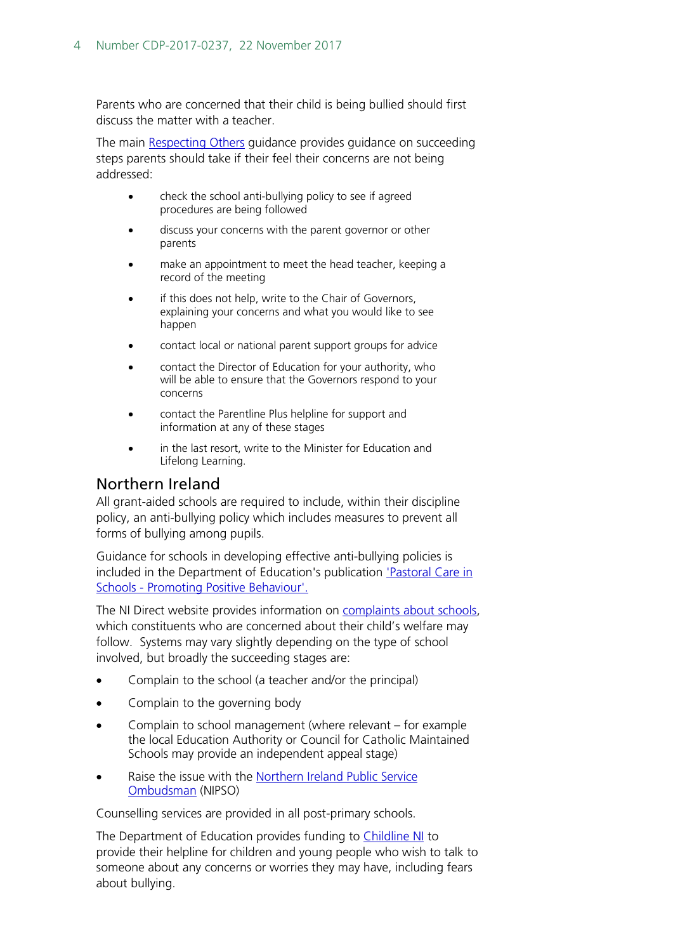Parents who are concerned that their child is being bullied should first discuss the matter with a teacher.

The main [Respecting Others](http://gov.wales/docs/dcells/publications/090119nafwc2303en.pdf) guidance provides guidance on succeeding steps parents should take if their feel their concerns are not being addressed:

- check the school anti-bullying policy to see if agreed procedures are being followed
- discuss your concerns with the parent governor or other parents
- make an appointment to meet the head teacher, keeping a record of the meeting
- if this does not help, write to the Chair of Governors, explaining your concerns and what you would like to see happen
- contact local or national parent support groups for advice
- contact the Director of Education for your authority, who will be able to ensure that the Governors respond to your concerns
- contact the Parentline Plus helpline for support and information at any of these stages
- in the last resort, write to the Minister for Education and Lifelong Learning.

## <span id="page-3-0"></span>Northern Ireland

All grant-aided schools are required to include, within their discipline policy, an anti-bullying policy which includes measures to prevent all forms of bullying among pupils.

Guidance for schools in developing effective anti-bullying policies is included in the Department of Education's publication ['Pastoral Care in](https://www.education-ni.gov.uk/publications/pastoral-care-schools-promoting-positive-behaviour)  Schools - [Promoting Positive Behaviour'.](https://www.education-ni.gov.uk/publications/pastoral-care-schools-promoting-positive-behaviour)

The NI Direct website provides information on [complaints about schools,](https://www.nidirect.gov.uk/articles/making-complaint-your-childs-school) which constituents who are concerned about their child's welfare may follow. Systems may vary slightly depending on the type of school involved, but broadly the succeeding stages are:

- Complain to the school (a teacher and/or the principal)
- Complain to the governing body
- Complain to school management (where relevant for example the local Education Authority or Council for Catholic Maintained Schools may provide an independent appeal stage)
- Raise the issue with the Northern Ireland Public Service [Ombudsman](https://nipso.org.uk/) (NIPSO)

Counselling services are provided in all post-primary schools.

The Department of Education provides funding to [Childline NI](https://www.nidirect.gov.uk/contacts/contacts-az/childline) to provide their helpline for children and young people who wish to talk to someone about any concerns or worries they may have, including fears about bullying.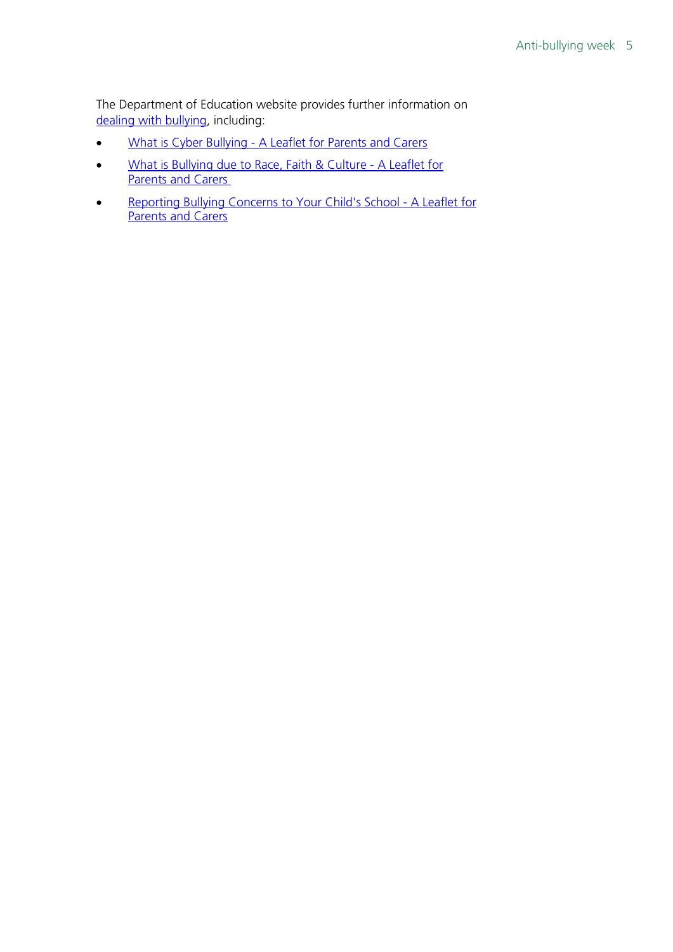The Department of Education website provides further information on [dealing with bullying,](https://www.education-ni.gov.uk/articles/dealing-bullying) including:

- What is Cyber Bullying [A Leaflet for Parents and Carers](https://www.education-ni.gov.uk/publications/what-cyber-bullying)
- [What is Bullying due to Race, Faith & Culture -](https://www.education-ni.gov.uk/publications/what-bullying-due-race-faith-and-culture) A Leaflet for [Parents and Carers](https://www.education-ni.gov.uk/publications/what-bullying-due-race-faith-and-culture)
- [Reporting Bullying Concerns to Your Child's School -](https://www.education-ni.gov.uk/publications/reporting-bullying-concerns-your-childs-school) A Leaflet for [Parents and Carers](https://www.education-ni.gov.uk/publications/reporting-bullying-concerns-your-childs-school)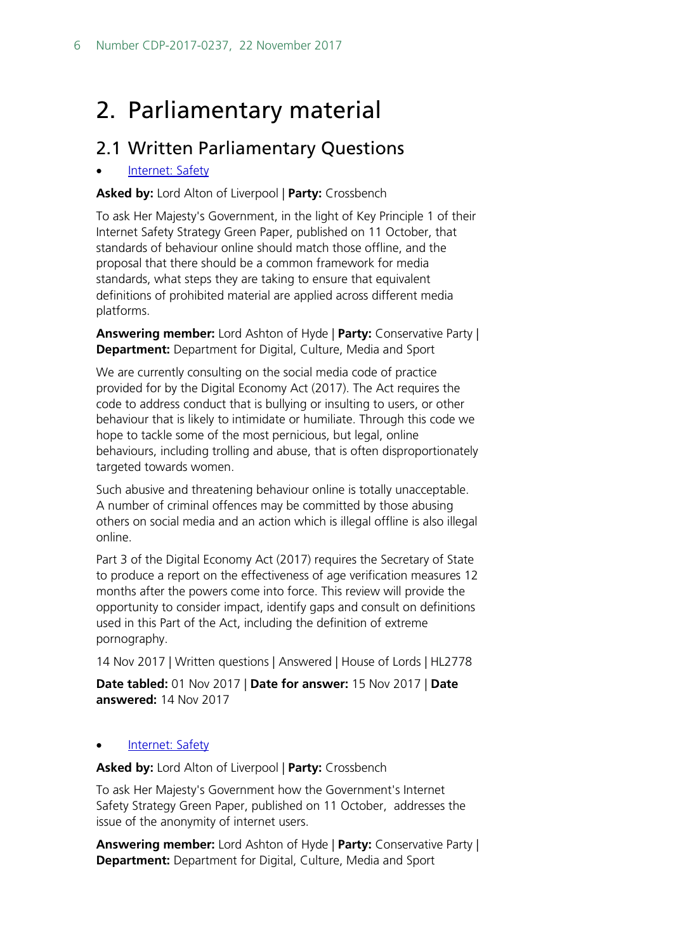## <span id="page-5-0"></span>2. Parliamentary material

## <span id="page-5-1"></span>2.1 Written Parliamentary Questions

#### [Internet: Safety](http://www.parliament.uk/written-questions-answers-statements/written-question/lords/2017-11-01/HL2778)

**Asked by:** Lord Alton of Liverpool | **Party:** Crossbench

To ask Her Majesty's Government, in the light of Key Principle 1 of their Internet Safety Strategy Green Paper, published on 11 October, that standards of behaviour online should match those offline, and the proposal that there should be a common framework for media standards, what steps they are taking to ensure that equivalent definitions of prohibited material are applied across different media platforms.

**Answering member:** Lord Ashton of Hyde | **Party:** Conservative Party | **Department:** Department for Digital, Culture, Media and Sport

We are currently consulting on the social media code of practice provided for by the Digital Economy Act (2017). The Act requires the code to address conduct that is bullying or insulting to users, or other behaviour that is likely to intimidate or humiliate. Through this code we hope to tackle some of the most pernicious, but legal, online behaviours, including trolling and abuse, that is often disproportionately targeted towards women.

Such abusive and threatening behaviour online is totally unacceptable. A number of criminal offences may be committed by those abusing others on social media and an action which is illegal offline is also illegal online.

Part 3 of the Digital Economy Act (2017) requires the Secretary of State to produce a report on the effectiveness of age verification measures 12 months after the powers come into force. This review will provide the opportunity to consider impact, identify gaps and consult on definitions used in this Part of the Act, including the definition of extreme pornography.

14 Nov 2017 | Written questions | Answered | House of Lords | HL2778

**Date tabled:** 01 Nov 2017 | **Date for answer:** 15 Nov 2017 | **Date answered:** 14 Nov 2017

#### [Internet: Safety](http://www.parliament.uk/written-questions-answers-statements/written-question/lords/2017-10-31/HL2765)

**Asked by:** Lord Alton of Liverpool | **Party:** Crossbench

To ask Her Majesty's Government how the Government's Internet Safety Strategy Green Paper, published on 11 October, addresses the issue of the anonymity of internet users.

**Answering member:** Lord Ashton of Hyde | **Party:** Conservative Party | **Department:** Department for Digital, Culture, Media and Sport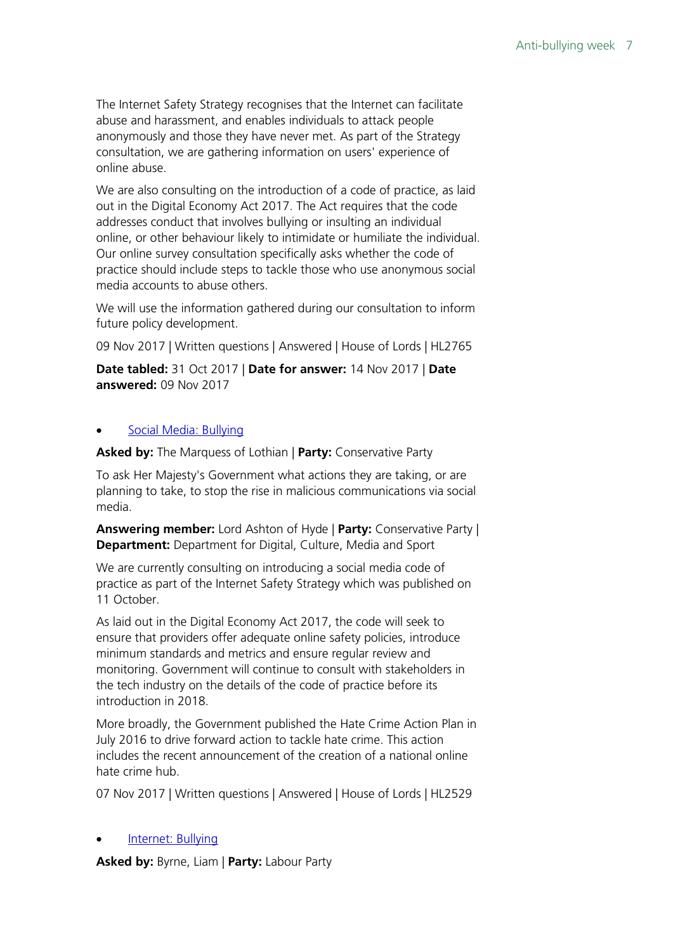The Internet Safety Strategy recognises that the Internet can facilitate abuse and harassment, and enables individuals to attack people anonymously and those they have never met. As part of the Strategy consultation, we are gathering information on users' experience of online abuse.

We are also consulting on the introduction of a code of practice, as laid out in the Digital Economy Act 2017. The Act requires that the code addresses conduct that involves bullying or insulting an individual online, or other behaviour likely to intimidate or humiliate the individual. Our online survey consultation specifically asks whether the code of practice should include steps to tackle those who use anonymous social media accounts to abuse others.

We will use the information gathered during our consultation to inform future policy development.

09 Nov 2017 | Written questions | Answered | House of Lords | HL2765

**Date tabled:** 31 Oct 2017 | **Date for answer:** 14 Nov 2017 | **Date answered:** 09 Nov 2017

#### • [Social Media: Bullying](http://www.parliament.uk/written-questions-answers-statements/written-question/lords/2017-10-25/HL2529)

**Asked by:** The Marquess of Lothian | **Party:** Conservative Party

To ask Her Majesty's Government what actions they are taking, or are planning to take, to stop the rise in malicious communications via social media.

**Answering member:** Lord Ashton of Hyde | **Party:** Conservative Party | **Department:** Department for Digital, Culture, Media and Sport

We are currently consulting on introducing a social media code of practice as part of the Internet Safety Strategy which was published on 11 October.

As laid out in the Digital Economy Act 2017, the code will seek to ensure that providers offer adequate online safety policies, introduce minimum standards and metrics and ensure regular review and monitoring. Government will continue to consult with stakeholders in the tech industry on the details of the code of practice before its introduction in 2018.

More broadly, the Government published the Hate Crime Action Plan in July 2016 to drive forward action to tackle hate crime. This action includes the recent announcement of the creation of a national online hate crime hub.

07 Nov 2017 | Written questions | Answered | House of Lords | HL2529

#### • [Internet: Bullying](http://www.parliament.uk/written-questions-answers-statements/written-question/commons/2017-10-26/109803)

**Asked by:** Byrne, Liam | **Party:** Labour Party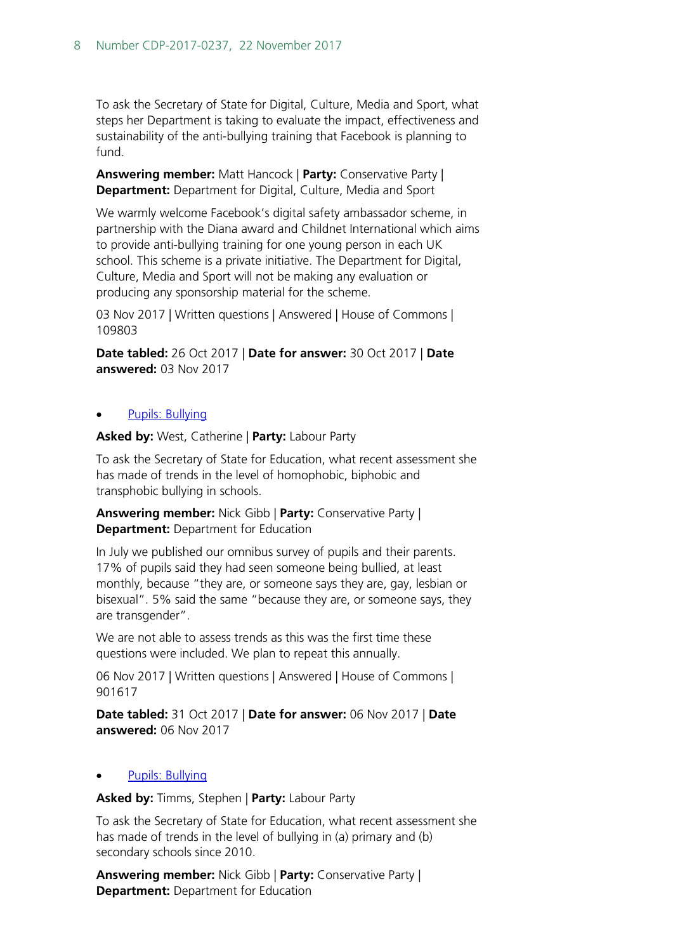To ask the Secretary of State for Digital, Culture, Media and Sport, what steps her Department is taking to evaluate the impact, effectiveness and sustainability of the anti-bullying training that Facebook is planning to fund.

**Answering member:** Matt Hancock | **Party:** Conservative Party | **Department:** Department for Digital, Culture, Media and Sport

We warmly welcome Facebook's digital safety ambassador scheme, in partnership with the Diana award and Childnet International which aims to provide anti-bullying training for one young person in each UK school. This scheme is a private initiative. The Department for Digital, Culture, Media and Sport will not be making any evaluation or producing any sponsorship material for the scheme.

03 Nov 2017 | Written questions | Answered | House of Commons | 109803

**Date tabled:** 26 Oct 2017 | **Date for answer:** 30 Oct 2017 | **Date answered:** 03 Nov 2017

#### [Pupils: Bullying](http://www.parliament.uk/written-questions-answers-statements/written-question/commons/2017-10-31/901617)

**Asked by:** West, Catherine | **Party:** Labour Party

To ask the Secretary of State for Education, what recent assessment she has made of trends in the level of homophobic, biphobic and transphobic bullying in schools.

**Answering member:** Nick Gibb | **Party:** Conservative Party | **Department:** Department for Education

In July we published our omnibus survey of pupils and their parents. 17% of pupils said they had seen someone being bullied, at least monthly, because "they are, or someone says they are, gay, lesbian or bisexual". 5% said the same "because they are, or someone says, they are transgender".

We are not able to assess trends as this was the first time these questions were included. We plan to repeat this annually.

06 Nov 2017 | Written questions | Answered | House of Commons | 901617

**Date tabled:** 31 Oct 2017 | **Date for answer:** 06 Nov 2017 | **Date answered:** 06 Nov 2017

#### • [Pupils: Bullying](http://www.parliament.uk/written-questions-answers-statements/written-question/commons/2017-09-12/10107)

**Asked by:** Timms, Stephen | **Party:** Labour Party

To ask the Secretary of State for Education, what recent assessment she has made of trends in the level of bullying in (a) primary and (b) secondary schools since 2010.

**Answering member:** Nick Gibb | **Party:** Conservative Party | **Department:** Department for Education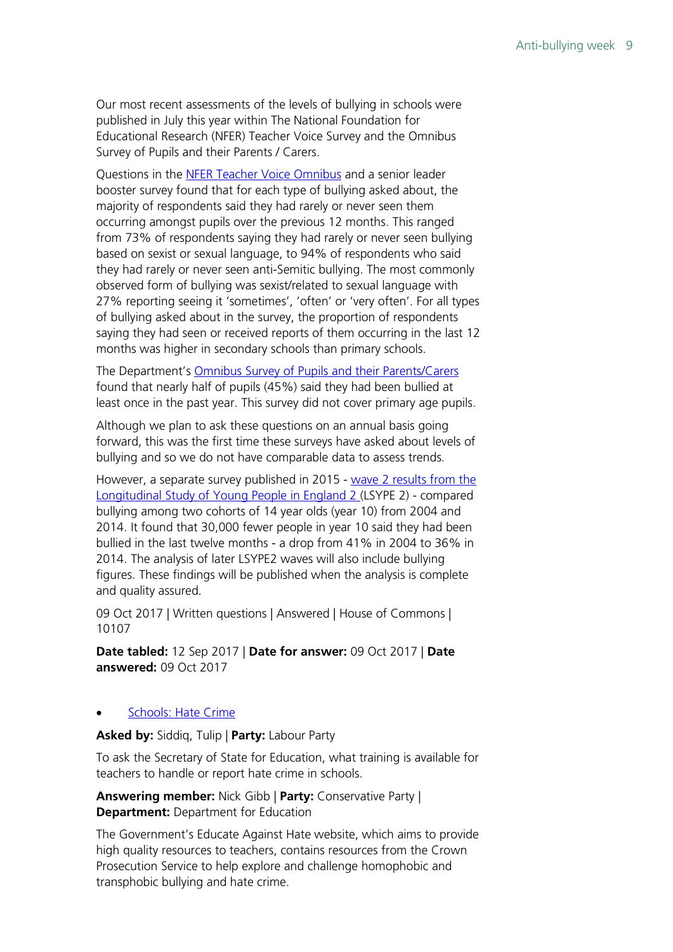Our most recent assessments of the levels of bullying in schools were published in July this year within The National Foundation for Educational Research (NFER) Teacher Voice Survey and the Omnibus Survey of Pupils and their Parents / Carers.

Questions in the [NFER Teacher Voice Omnibus](https://www.gov.uk/government/uploads/system/uploads/attachment_data/file/625908/NFER_Teacher_Voice_report_November_2016.pdf) and a senior leader booster survey found that for each type of bullying asked about, the majority of respondents said they had rarely or never seen them occurring amongst pupils over the previous 12 months. This ranged from 73% of respondents saying they had rarely or never seen bullying based on sexist or sexual language, to 94% of respondents who said they had rarely or never seen anti-Semitic bullying. The most commonly observed form of bullying was sexist/related to sexual language with 27% reporting seeing it 'sometimes', 'often' or 'very often'. For all types of bullying asked about in the survey, the proportion of respondents saying they had seen or received reports of them occurring in the last 12 months was higher in secondary schools than primary schools.

The Department's [Omnibus Survey of Pupils and their Parents/Carers](https://www.gov.uk/government/uploads/system/uploads/attachment_data/file/626068/PPC_Omnibus_Wave_2_Report.pdf) found that nearly half of pupils (45%) said they had been bullied at least once in the past year. This survey did not cover primary age pupils.

Although we plan to ask these questions on an annual basis going forward, this was the first time these surveys have asked about levels of bullying and so we do not have comparable data to assess trends.

However, a separate survey published in 2015 - [wave 2 results from the](https://www.gov.uk/government/publications/bullying-evidence-from-lsype2-wave-2)  [Longitudinal Study of Young People in England 2 \(](https://www.gov.uk/government/publications/bullying-evidence-from-lsype2-wave-2)LSYPE 2) - compared bullying among two cohorts of 14 year olds (year 10) from 2004 and 2014. It found that 30,000 fewer people in year 10 said they had been bullied in the last twelve months - a drop from 41% in 2004 to 36% in 2014. The analysis of later LSYPE2 waves will also include bullying figures. These findings will be published when the analysis is complete and quality assured.

09 Oct 2017 | Written questions | Answered | House of Commons | 10107

**Date tabled:** 12 Sep 2017 | **Date for answer:** 09 Oct 2017 | **Date answered:** 09 Oct 2017

#### • [Schools: Hate Crime](http://www.parliament.uk/written-questions-answers-statements/written-question/commons/2017-09-04/7203)

**Asked by:** Siddiq, Tulip | **Party:** Labour Party

To ask the Secretary of State for Education, what training is available for teachers to handle or report hate crime in schools.

**Answering member:** Nick Gibb | **Party:** Conservative Party | **Department: Department for Education** 

The Government's Educate Against Hate website, which aims to provide high quality resources to teachers, contains resources from the Crown Prosecution Service to help explore and challenge homophobic and transphobic bullying and hate crime.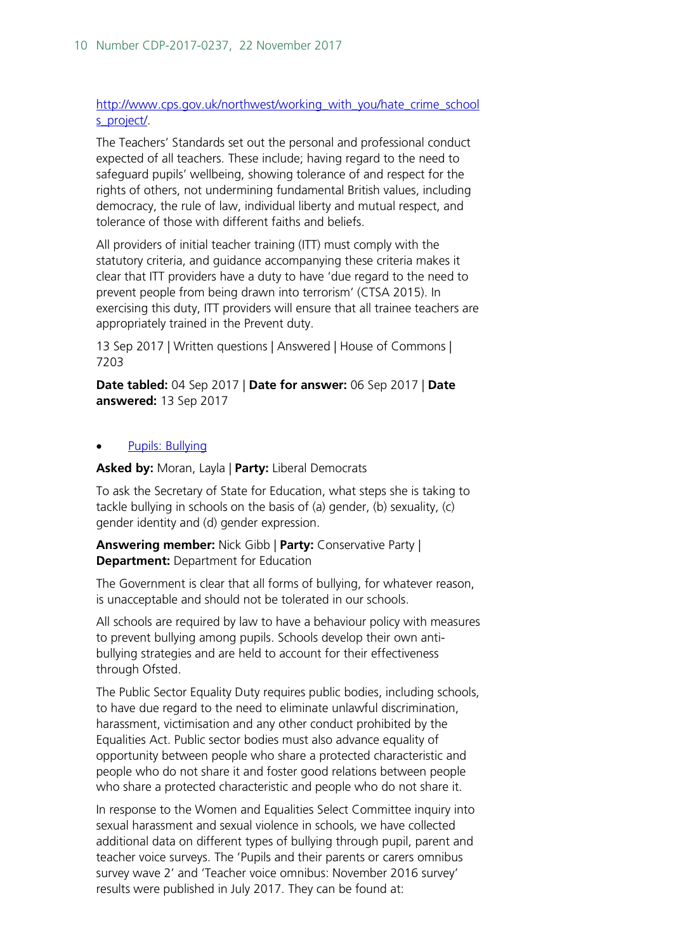#### [http://www.cps.gov.uk/northwest/working\\_with\\_you/hate\\_crime\\_school](http://www.cps.gov.uk/northwest/working_with_you/hate_crime_schools_project/) [s\\_project/.](http://www.cps.gov.uk/northwest/working_with_you/hate_crime_schools_project/)

The Teachers' Standards set out the personal and professional conduct expected of all teachers. These include; having regard to the need to safeguard pupils' wellbeing, showing tolerance of and respect for the rights of others, not undermining fundamental British values, including democracy, the rule of law, individual liberty and mutual respect, and tolerance of those with different faiths and beliefs.

All providers of initial teacher training (ITT) must comply with the statutory criteria, and guidance accompanying these criteria makes it clear that ITT providers have a duty to have 'due regard to the need to prevent people from being drawn into terrorism' (CTSA 2015). In exercising this duty, ITT providers will ensure that all trainee teachers are appropriately trained in the Prevent duty.

13 Sep 2017 | Written questions | Answered | House of Commons | 7203

**Date tabled:** 04 Sep 2017 | **Date for answer:** 06 Sep 2017 | **Date answered:** 13 Sep 2017

#### • [Pupils: Bullying](http://www.parliament.uk/written-questions-answers-statements/written-question/commons/2017-07-20/6636)

**Asked by:** Moran, Layla | **Party:** Liberal Democrats

To ask the Secretary of State for Education, what steps she is taking to tackle bullying in schools on the basis of (a) gender, (b) sexuality, (c) gender identity and (d) gender expression.

**Answering member:** Nick Gibb | **Party:** Conservative Party | **Department:** Department for Education

The Government is clear that all forms of bullying, for whatever reason, is unacceptable and should not be tolerated in our schools.

All schools are required by law to have a behaviour policy with measures to prevent bullying among pupils. Schools develop their own antibullying strategies and are held to account for their effectiveness through Ofsted.

The Public Sector Equality Duty requires public bodies, including schools, to have due regard to the need to eliminate unlawful discrimination, harassment, victimisation and any other conduct prohibited by the Equalities Act. Public sector bodies must also advance equality of opportunity between people who share a protected characteristic and people who do not share it and foster good relations between people who share a protected characteristic and people who do not share it.

In response to the Women and Equalities Select Committee inquiry into sexual harassment and sexual violence in schools, we have collected additional data on different types of bullying through pupil, parent and teacher voice surveys. The 'Pupils and their parents or carers omnibus survey wave 2' and 'Teacher voice omnibus: November 2016 survey' results were published in July 2017. They can be found at: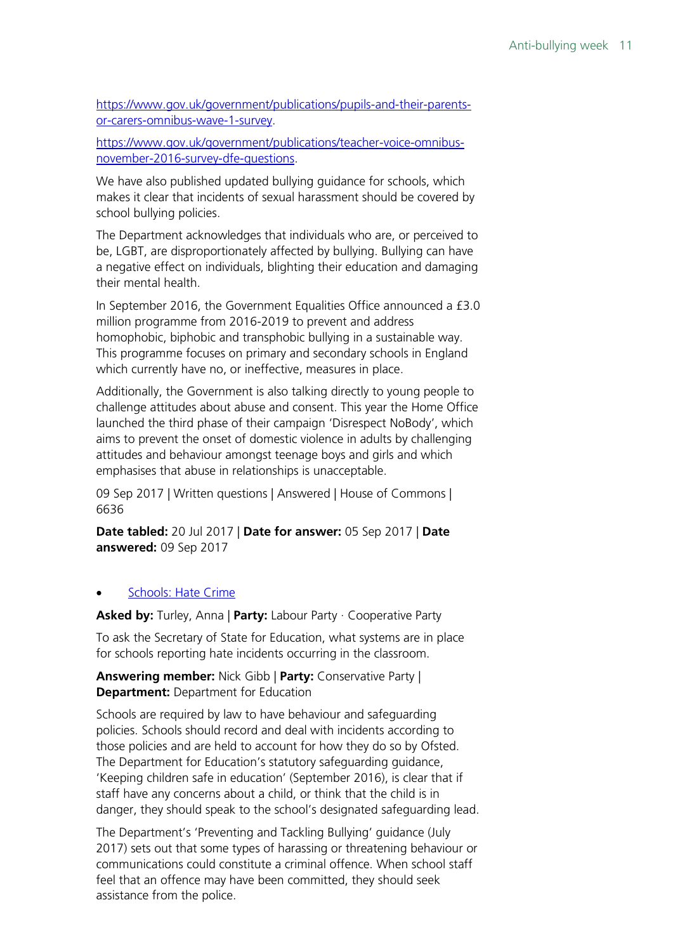[https://www.gov.uk/government/publications/pupils-and-their-parents](https://www.gov.uk/government/publications/pupils-and-their-parents-or-carers-omnibus-wave-1-survey)[or-carers-omnibus-wave-1-survey.](https://www.gov.uk/government/publications/pupils-and-their-parents-or-carers-omnibus-wave-1-survey)

[https://www.gov.uk/government/publications/teacher-voice-omnibus](https://www.gov.uk/government/publications/teacher-voice-omnibus-november-2016-survey-dfe-questions)[november-2016-survey-dfe-questions.](https://www.gov.uk/government/publications/teacher-voice-omnibus-november-2016-survey-dfe-questions)

We have also published updated bullying guidance for schools, which makes it clear that incidents of sexual harassment should be covered by school bullying policies.

The Department acknowledges that individuals who are, or perceived to be, LGBT, are disproportionately affected by bullying. Bullying can have a negative effect on individuals, blighting their education and damaging their mental health.

In September 2016, the Government Equalities Office announced a £3.0 million programme from 2016-2019 to prevent and address homophobic, biphobic and transphobic bullying in a sustainable way. This programme focuses on primary and secondary schools in England which currently have no, or ineffective, measures in place.

Additionally, the Government is also talking directly to young people to challenge attitudes about abuse and consent. This year the Home Office launched the third phase of their campaign 'Disrespect NoBody', which aims to prevent the onset of domestic violence in adults by challenging attitudes and behaviour amongst teenage boys and girls and which emphasises that abuse in relationships is unacceptable.

09 Sep 2017 | Written questions | Answered | House of Commons | 6636

**Date tabled:** 20 Jul 2017 | **Date for answer:** 05 Sep 2017 | **Date answered:** 09 Sep 2017

#### • [Schools: Hate Crime](http://www.parliament.uk/written-questions-answers-statements/written-question/commons/2017-07-06/3599)

**Asked by:** Turley, Anna | **Party:** Labour Party · Cooperative Party

To ask the Secretary of State for Education, what systems are in place for schools reporting hate incidents occurring in the classroom.

**Answering member:** Nick Gibb | **Party:** Conservative Party | **Department: Department for Education** 

Schools are required by law to have behaviour and safeguarding policies. Schools should record and deal with incidents according to those policies and are held to account for how they do so by Ofsted. The Department for Education's statutory safeguarding guidance, 'Keeping children safe in education' (September 2016), is clear that if staff have any concerns about a child, or think that the child is in danger, they should speak to the school's designated safeguarding lead.

The Department's 'Preventing and Tackling Bullying' guidance (July 2017) sets out that some types of harassing or threatening behaviour or communications could constitute a criminal offence. When school staff feel that an offence may have been committed, they should seek assistance from the police.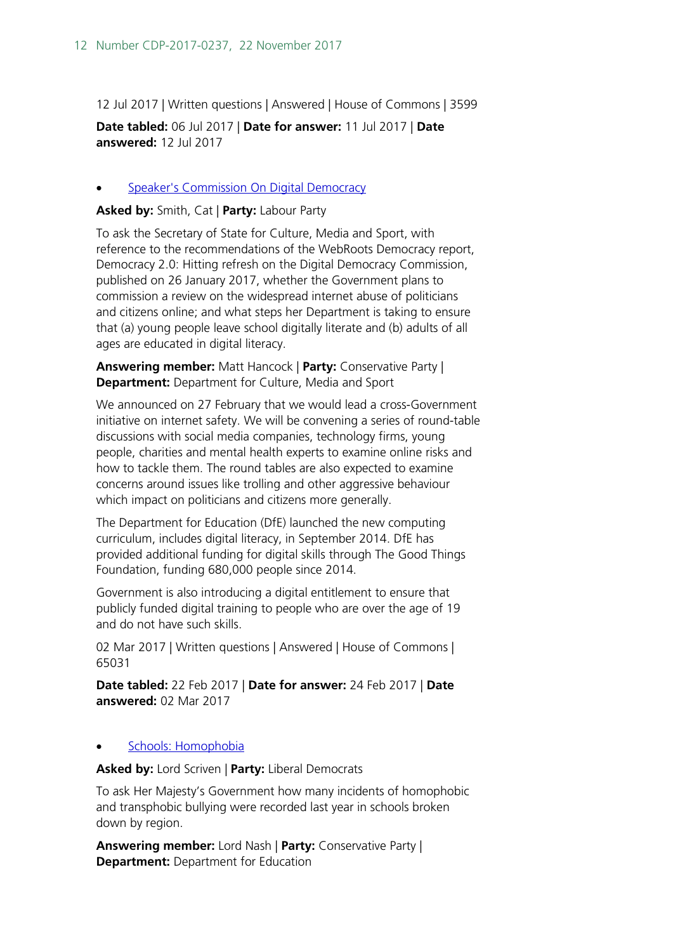12 Jul 2017 | Written questions | Answered | House of Commons | 3599

**Date tabled:** 06 Jul 2017 | **Date for answer:** 11 Jul 2017 | **Date answered:** 12 Jul 2017

#### **[Speaker's Commission On Digital Democracy](http://www.parliament.uk/written-questions-answers-statements/written-question/commons/2017-02-22/65031)**

**Asked by:** Smith, Cat | **Party:** Labour Party

To ask the Secretary of State for Culture, Media and Sport, with reference to the recommendations of the WebRoots Democracy report, Democracy 2.0: Hitting refresh on the Digital Democracy Commission, published on 26 January 2017, whether the Government plans to commission a review on the widespread internet abuse of politicians and citizens online; and what steps her Department is taking to ensure that (a) young people leave school digitally literate and (b) adults of all ages are educated in digital literacy.

**Answering member:** Matt Hancock | **Party:** Conservative Party | **Department:** Department for Culture, Media and Sport

We announced on 27 February that we would lead a cross-Government initiative on internet safety. We will be convening a series of round-table discussions with social media companies, technology firms, young people, charities and mental health experts to examine online risks and how to tackle them. The round tables are also expected to examine concerns around issues like trolling and other aggressive behaviour which impact on politicians and citizens more generally.

The Department for Education (DfE) launched the new computing curriculum, includes digital literacy, in September 2014. DfE has provided additional funding for digital skills through The Good Things Foundation, funding 680,000 people since 2014.

Government is also introducing a digital entitlement to ensure that publicly funded digital training to people who are over the age of 19 and do not have such skills.

02 Mar 2017 | Written questions | Answered | House of Commons | 65031

**Date tabled:** 22 Feb 2017 | **Date for answer:** 24 Feb 2017 | **Date answered:** 02 Mar 2017

#### • [Schools: Homophobia](http://www.parliament.uk/written-questions-answers-statements/written-question/lords/2017-02-09/HL5407)

**Asked by:** Lord Scriven | **Party:** Liberal Democrats

To ask Her Majesty's Government how many incidents of homophobic and transphobic bullying were recorded last year in schools broken down by region.

**Answering member:** Lord Nash | **Party:** Conservative Party | **Department: Department for Education**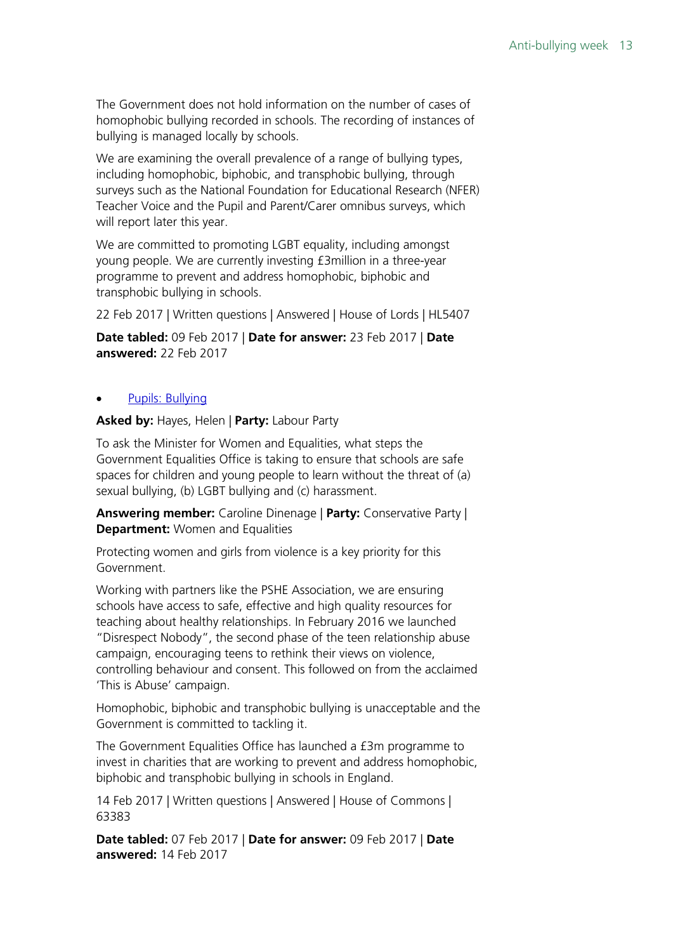The Government does not hold information on the number of cases of homophobic bullying recorded in schools. The recording of instances of bullying is managed locally by schools.

We are examining the overall prevalence of a range of bullying types, including homophobic, biphobic, and transphobic bullying, through surveys such as the National Foundation for Educational Research (NFER) Teacher Voice and the Pupil and Parent/Carer omnibus surveys, which will report later this year.

We are committed to promoting LGBT equality, including amongst young people. We are currently investing £3million in a three-year programme to prevent and address homophobic, biphobic and transphobic bullying in schools.

22 Feb 2017 | Written questions | Answered | House of Lords | HL5407

**Date tabled:** 09 Feb 2017 | **Date for answer:** 23 Feb 2017 | **Date answered:** 22 Feb 2017

#### • [Pupils: Bullying](http://www.parliament.uk/written-questions-answers-statements/written-question/commons/2017-02-07/63383)

**Asked by:** Hayes, Helen | **Party:** Labour Party

To ask the Minister for Women and Equalities, what steps the Government Equalities Office is taking to ensure that schools are safe spaces for children and young people to learn without the threat of (a) sexual bullying, (b) LGBT bullying and (c) harassment.

**Answering member:** Caroline Dinenage | **Party:** Conservative Party | **Department:** Women and Equalities

Protecting women and girls from violence is a key priority for this Government.

Working with partners like the PSHE Association, we are ensuring schools have access to safe, effective and high quality resources for teaching about healthy relationships. In February 2016 we launched "Disrespect Nobody", the second phase of the teen relationship abuse campaign, encouraging teens to rethink their views on violence, controlling behaviour and consent. This followed on from the acclaimed 'This is Abuse' campaign.

Homophobic, biphobic and transphobic bullying is unacceptable and the Government is committed to tackling it.

The Government Equalities Office has launched a £3m programme to invest in charities that are working to prevent and address homophobic, biphobic and transphobic bullying in schools in England.

14 Feb 2017 | Written questions | Answered | House of Commons | 63383

**Date tabled:** 07 Feb 2017 | **Date for answer:** 09 Feb 2017 | **Date answered:** 14 Feb 2017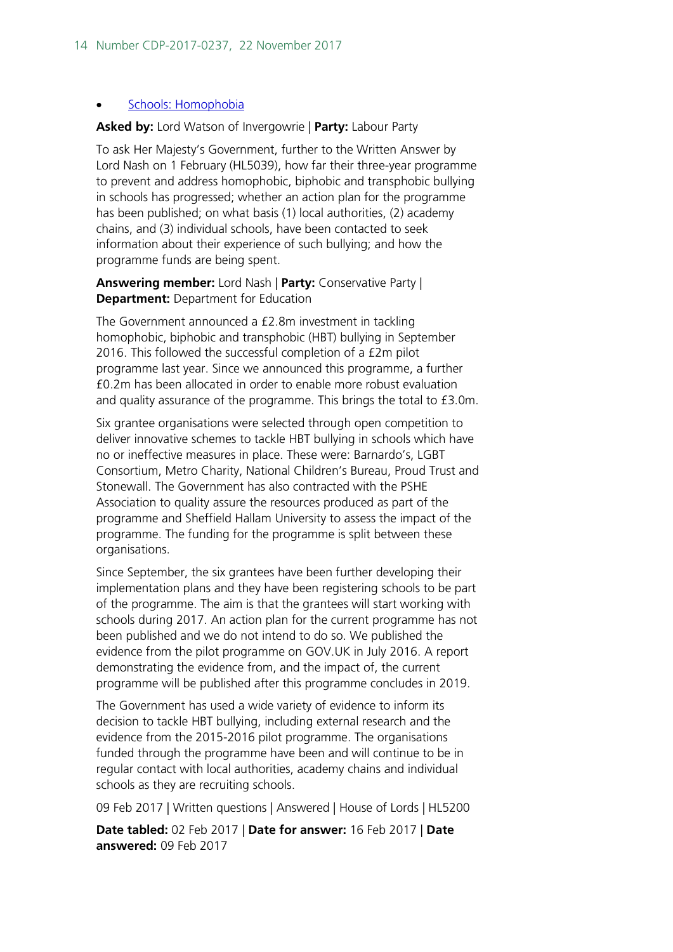#### • [Schools: Homophobia](http://www.parliament.uk/written-questions-answers-statements/written-question/lords/2017-02-02/HL5200)

#### **Asked by:** Lord Watson of Invergowrie | **Party:** Labour Party

To ask Her Majesty's Government, further to the Written Answer by Lord Nash on 1 February (HL5039), how far their three-year programme to prevent and address homophobic, biphobic and transphobic bullying in schools has progressed; whether an action plan for the programme has been published; on what basis (1) local authorities, (2) academy chains, and (3) individual schools, have been contacted to seek information about their experience of such bullying; and how the programme funds are being spent.

#### **Answering member:** Lord Nash | **Party:** Conservative Party | **Department:** Department for Education

The Government announced a £2.8m investment in tackling homophobic, biphobic and transphobic (HBT) bullying in September 2016. This followed the successful completion of a £2m pilot programme last year. Since we announced this programme, a further £0.2m has been allocated in order to enable more robust evaluation and quality assurance of the programme. This brings the total to £3.0m.

Six grantee organisations were selected through open competition to deliver innovative schemes to tackle HBT bullying in schools which have no or ineffective measures in place. These were: Barnardo's, LGBT Consortium, Metro Charity, National Children's Bureau, Proud Trust and Stonewall. The Government has also contracted with the PSHE Association to quality assure the resources produced as part of the programme and Sheffield Hallam University to assess the impact of the programme. The funding for the programme is split between these organisations.

Since September, the six grantees have been further developing their implementation plans and they have been registering schools to be part of the programme. The aim is that the grantees will start working with schools during 2017. An action plan for the current programme has not been published and we do not intend to do so. We published the evidence from the pilot programme on GOV.UK in July 2016. A report demonstrating the evidence from, and the impact of, the current programme will be published after this programme concludes in 2019.

The Government has used a wide variety of evidence to inform its decision to tackle HBT bullying, including external research and the evidence from the 2015-2016 pilot programme. The organisations funded through the programme have been and will continue to be in regular contact with local authorities, academy chains and individual schools as they are recruiting schools.

09 Feb 2017 | Written questions | Answered | House of Lords | HL5200

**Date tabled:** 02 Feb 2017 | **Date for answer:** 16 Feb 2017 | **Date answered:** 09 Feb 2017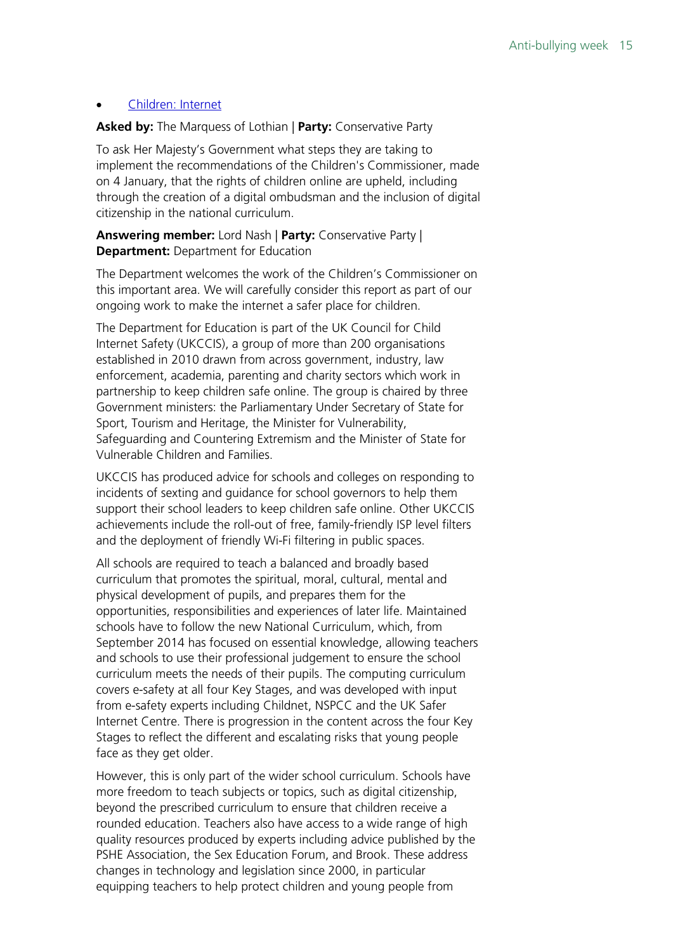#### • [Children: Internet](http://www.parliament.uk/written-questions-answers-statements/written-question/lords/2017-01-10/HL4545)

#### **Asked by:** The Marquess of Lothian | **Party:** Conservative Party

To ask Her Majesty's Government what steps they are taking to implement the recommendations of the Children's Commissioner, made on 4 January, that the rights of children online are upheld, including through the creation of a digital ombudsman and the inclusion of digital citizenship in the national curriculum.

**Answering member:** Lord Nash | **Party:** Conservative Party | **Department:** Department for Education

The Department welcomes the work of the Children's Commissioner on this important area. We will carefully consider this report as part of our ongoing work to make the internet a safer place for children.

The Department for Education is part of the UK Council for Child Internet Safety (UKCCIS), a group of more than 200 organisations established in 2010 drawn from across government, industry, law enforcement, academia, parenting and charity sectors which work in partnership to keep children safe online. The group is chaired by three Government ministers: the Parliamentary Under Secretary of State for Sport, Tourism and Heritage, the Minister for Vulnerability, Safeguarding and Countering Extremism and the Minister of State for Vulnerable Children and Families.

UKCCIS has produced advice for schools and colleges on responding to incidents of sexting and guidance for school governors to help them support their school leaders to keep children safe online. Other UKCCIS achievements include the roll-out of free, family-friendly ISP level filters and the deployment of friendly Wi-Fi filtering in public spaces.

All schools are required to teach a balanced and broadly based curriculum that promotes the spiritual, moral, cultural, mental and physical development of pupils, and prepares them for the opportunities, responsibilities and experiences of later life. Maintained schools have to follow the new National Curriculum, which, from September 2014 has focused on essential knowledge, allowing teachers and schools to use their professional judgement to ensure the school curriculum meets the needs of their pupils. The computing curriculum covers e-safety at all four Key Stages, and was developed with input from e-safety experts including Childnet, NSPCC and the UK Safer Internet Centre. There is progression in the content across the four Key Stages to reflect the different and escalating risks that young people face as they get older.

However, this is only part of the wider school curriculum. Schools have more freedom to teach subjects or topics, such as digital citizenship, beyond the prescribed curriculum to ensure that children receive a rounded education. Teachers also have access to a wide range of high quality resources produced by experts including advice published by the PSHE Association, the Sex Education Forum, and Brook. These address changes in technology and legislation since 2000, in particular equipping teachers to help protect children and young people from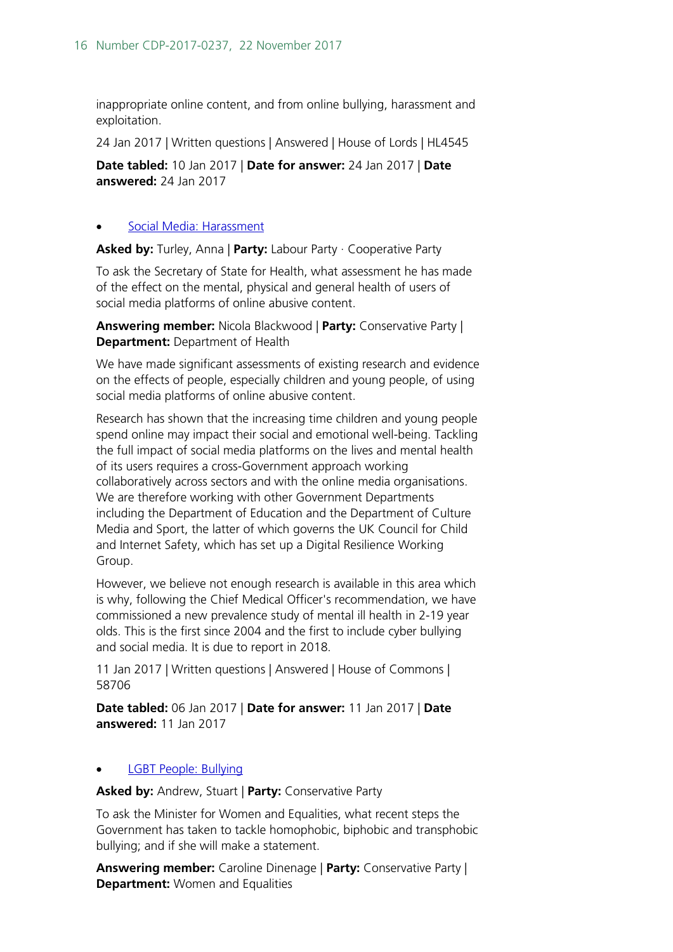inappropriate online content, and from online bullying, harassment and exploitation.

24 Jan 2017 | Written questions | Answered | House of Lords | HL4545

**Date tabled:** 10 Jan 2017 | **Date for answer:** 24 Jan 2017 | **Date answered:** 24 Jan 2017

#### • [Social Media: Harassment](http://www.parliament.uk/written-questions-answers-statements/written-question/commons/2017-01-06/58706)

**Asked by:** Turley, Anna | **Party:** Labour Party · Cooperative Party

To ask the Secretary of State for Health, what assessment he has made of the effect on the mental, physical and general health of users of social media platforms of online abusive content.

**Answering member:** Nicola Blackwood | **Party:** Conservative Party | **Department:** Department of Health

We have made significant assessments of existing research and evidence on the effects of people, especially children and young people, of using social media platforms of online abusive content.

Research has shown that the increasing time children and young people spend online may impact their social and emotional well-being. Tackling the full impact of social media platforms on the lives and mental health of its users requires a cross-Government approach working collaboratively across sectors and with the online media organisations. We are therefore working with other Government Departments including the Department of Education and the Department of Culture Media and Sport, the latter of which governs the UK Council for Child and Internet Safety, which has set up a Digital Resilience Working Group.

However, we believe not enough research is available in this area which is why, following the Chief Medical Officer's recommendation, we have commissioned a new prevalence study of mental ill health in 2-19 year olds. This is the first since 2004 and the first to include cyber bullying and social media. It is due to report in 2018.

11 Jan 2017 | Written questions | Answered | House of Commons | 58706

**Date tabled:** 06 Jan 2017 | **Date for answer:** 11 Jan 2017 | **Date answered:** 11 Jan 2017

#### • [LGBT People: Bullying](http://www.parliament.uk/written-questions-answers-statements/written-question/commons/2016-12-06/56245)

**Asked by:** Andrew, Stuart | **Party:** Conservative Party

To ask the Minister for Women and Equalities, what recent steps the Government has taken to tackle homophobic, biphobic and transphobic bullying; and if she will make a statement.

**Answering member:** Caroline Dinenage | **Party:** Conservative Party | **Department:** Women and Equalities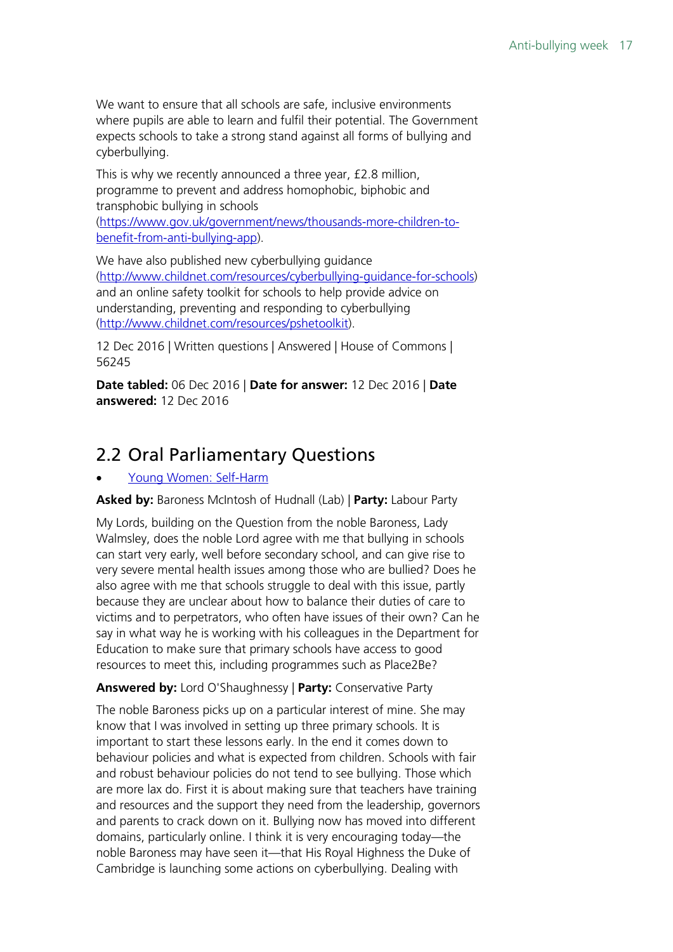We want to ensure that all schools are safe, inclusive environments where pupils are able to learn and fulfil their potential. The Government expects schools to take a strong stand against all forms of bullying and cyberbullying.

This is why we recently announced a three year, £2.8 million, programme to prevent and address homophobic, biphobic and transphobic bullying in schools

[\(https://www.gov.uk/government/news/thousands-more-children-to](https://www.gov.uk/government/news/thousands-more-children-to-benefit-from-anti-bullying-app)[benefit-from-anti-bullying-app\)](https://www.gov.uk/government/news/thousands-more-children-to-benefit-from-anti-bullying-app).

We have also published new cyberbullying quidance [\(http://www.childnet.com/resources/cyberbullying-guidance-for-schools\)](http://www.childnet.com/resources/cyberbullying-guidance-for-schools) and an online safety toolkit for schools to help provide advice on understanding, preventing and responding to cyberbullying [\(http://www.childnet.com/resources/pshetoolkit\)](http://www.childnet.com/resources/pshetoolkit).

12 Dec 2016 | Written questions | Answered | House of Commons | 56245

**Date tabled:** 06 Dec 2016 | **Date for answer:** 12 Dec 2016 | **Date answered:** 12 Dec 2016

## <span id="page-16-0"></span>2.2 Oral Parliamentary Questions

#### • [Young Women: Self-Harm](https://hansard.parliament.uk/pa/ld201719/ldhansrd/text/171116-0001.htm#1BCF44DA-F2D5-4CC6-9836-2C281FB8DF1B)

**Asked by:** Baroness McIntosh of Hudnall (Lab) | **Party:** Labour Party

My Lords, building on the Question from the noble Baroness, Lady Walmsley, does the noble Lord agree with me that bullying in schools can start very early, well before secondary school, and can give rise to very severe mental health issues among those who are bullied? Does he also agree with me that schools struggle to deal with this issue, partly because they are unclear about how to balance their duties of care to victims and to perpetrators, who often have issues of their own? Can he say in what way he is working with his colleagues in the Department for Education to make sure that primary schools have access to good resources to meet this, including programmes such as Place2Be?

#### **Answered by:** Lord O'Shaughnessy | **Party:** Conservative Party

The noble Baroness picks up on a particular interest of mine. She may know that I was involved in setting up three primary schools. It is important to start these lessons early. In the end it comes down to behaviour policies and what is expected from children. Schools with fair and robust behaviour policies do not tend to see bullying. Those which are more lax do. First it is about making sure that teachers have training and resources and the support they need from the leadership, governors and parents to crack down on it. Bullying now has moved into different domains, particularly online. I think it is very encouraging today—the noble Baroness may have seen it—that His Royal Highness the Duke of Cambridge is launching some actions on cyberbullying. Dealing with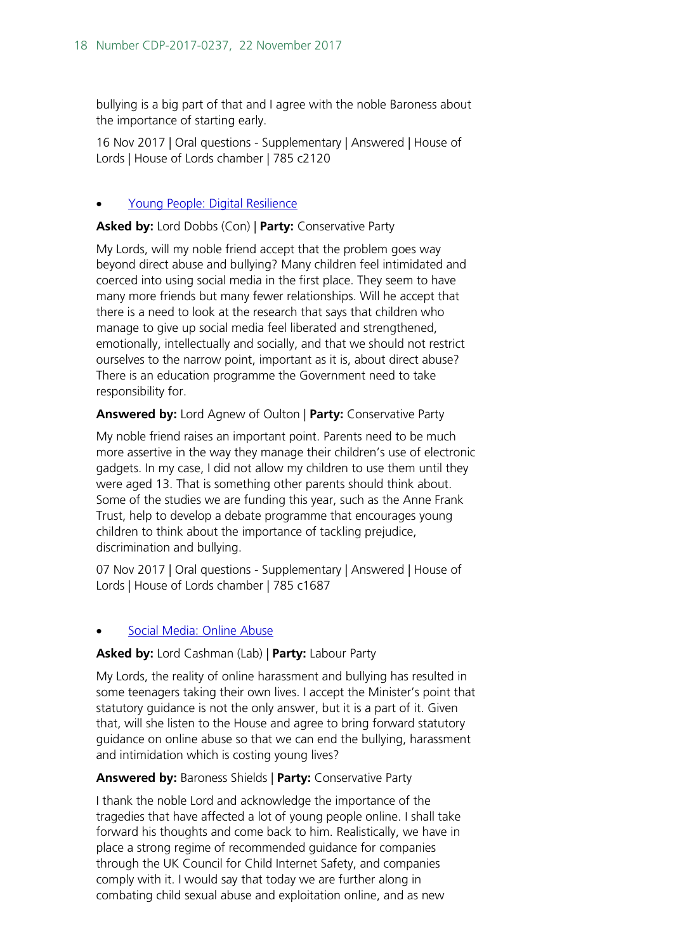bullying is a big part of that and I agree with the noble Baroness about the importance of starting early.

16 Nov 2017 | Oral questions - Supplementary | Answered | House of Lords | House of Lords chamber | 785 c2120

#### • [Young People: Digital Resilience](https://hansard.parliament.uk/pa/ld201719/ldhansrd/text/171107-0001.htm#D2B93B09-5DFD-4FFE-8872-0412DE9C6F40)

**Asked by:** Lord Dobbs (Con) | **Party:** Conservative Party

My Lords, will my noble friend accept that the problem goes way beyond direct abuse and bullying? Many children feel intimidated and coerced into using social media in the first place. They seem to have many more friends but many fewer relationships. Will he accept that there is a need to look at the research that says that children who manage to give up social media feel liberated and strengthened, emotionally, intellectually and socially, and that we should not restrict ourselves to the narrow point, important as it is, about direct abuse? There is an education programme the Government need to take responsibility for.

#### **Answered by:** Lord Agnew of Oulton | **Party:** Conservative Party

My noble friend raises an important point. Parents need to be much more assertive in the way they manage their children's use of electronic gadgets. In my case, I did not allow my children to use them until they were aged 13. That is something other parents should think about. Some of the studies we are funding this year, such as the Anne Frank Trust, help to develop a debate programme that encourages young children to think about the importance of tackling prejudice, discrimination and bullying.

07 Nov 2017 | Oral questions - Supplementary | Answered | House of Lords | House of Lords chamber | 785 c1687

#### • [Social Media: Online Abuse](https://hansard.parliament.uk/pa/ld201617/ldhansrd/text/170315-0001.htm#EBABD73C-3491-4E48-8810-9190D1EF2040)

#### **Asked by:** Lord Cashman (Lab) | **Party:** Labour Party

My Lords, the reality of online harassment and bullying has resulted in some teenagers taking their own lives. I accept the Minister's point that statutory guidance is not the only answer, but it is a part of it. Given that, will she listen to the House and agree to bring forward statutory guidance on online abuse so that we can end the bullying, harassment and intimidation which is costing young lives?

#### **Answered by:** Baroness Shields | **Party:** Conservative Party

I thank the noble Lord and acknowledge the importance of the tragedies that have affected a lot of young people online. I shall take forward his thoughts and come back to him. Realistically, we have in place a strong regime of recommended guidance for companies through the UK Council for Child Internet Safety, and companies comply with it. I would say that today we are further along in combating child sexual abuse and exploitation online, and as new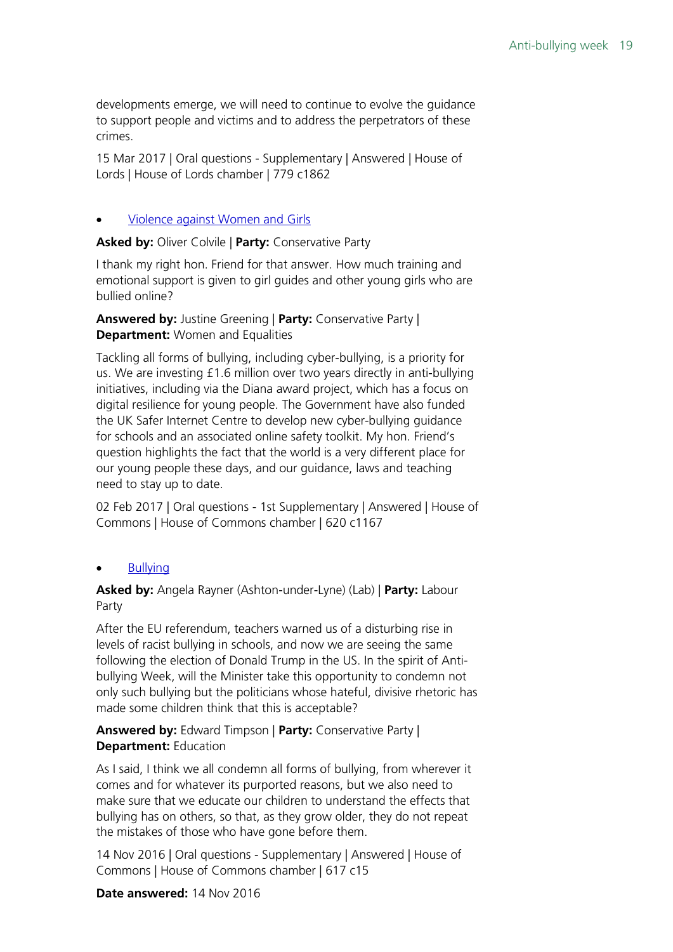developments emerge, we will need to continue to evolve the guidance to support people and victims and to address the perpetrators of these crimes.

15 Mar 2017 | Oral questions - Supplementary | Answered | House of Lords | House of Lords chamber | 779 c1862

#### • [Violence against Women and Girls](https://hansard.parliament.uk/pa/cm201617/cmhansrd/cm170202/debtext/170202-0001.htm#8BBEC84A-A9E7-43ED-A2F6-95006A4D76AA)

**Asked by:** Oliver Colvile | **Party:** Conservative Party

I thank my right hon. Friend for that answer. How much training and emotional support is given to girl guides and other young girls who are bullied online?

**Answered by:** Justine Greening | **Party:** Conservative Party | **Department:** Women and Equalities

Tackling all forms of bullying, including cyber-bullying, is a priority for us. We are investing £1.6 million over two years directly in anti-bullying initiatives, including via the Diana award project, which has a focus on digital resilience for young people. The Government have also funded the UK Safer Internet Centre to develop new cyber-bullying guidance for schools and an associated online safety toolkit. My hon. Friend's question highlights the fact that the world is a very different place for our young people these days, and our guidance, laws and teaching need to stay up to date.

02 Feb 2017 | Oral questions - 1st Supplementary | Answered | House of Commons | House of Commons chamber | 620 c1167

#### **[Bullying](https://hansard.parliament.uk/pa/cm201617/cmhansrd/cm161114/debtext/161114-0001.htm#C9EA8309-7FF8-4442-AD0E-E28E5A4A80C1)**

**Asked by:** Angela Rayner (Ashton-under-Lyne) (Lab) | **Party:** Labour Party

After the EU referendum, teachers warned us of a disturbing rise in levels of racist bullying in schools, and now we are seeing the same following the election of Donald Trump in the US. In the spirit of Antibullying Week, will the Minister take this opportunity to condemn not only such bullying but the politicians whose hateful, divisive rhetoric has made some children think that this is acceptable?

#### **Answered by:** Edward Timpson | **Party:** Conservative Party | **Department:** Education

As I said, I think we all condemn all forms of bullying, from wherever it comes and for whatever its purported reasons, but we also need to make sure that we educate our children to understand the effects that bullying has on others, so that, as they grow older, they do not repeat the mistakes of those who have gone before them.

14 Nov 2016 | Oral questions - Supplementary | Answered | House of Commons | House of Commons chamber | 617 c15

**Date answered:** 14 Nov 2016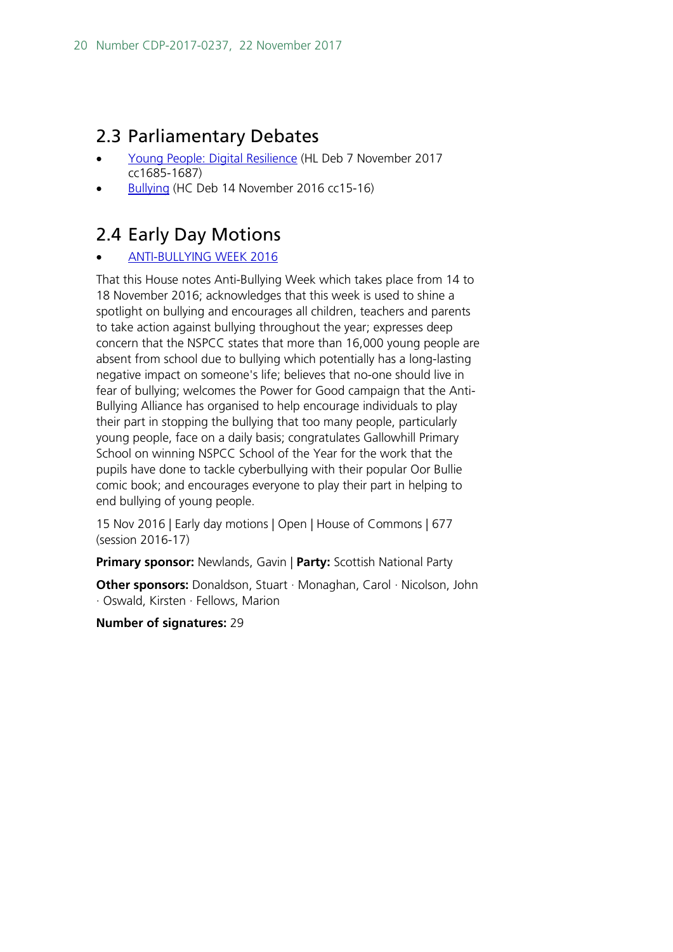## <span id="page-19-0"></span>2.3 Parliamentary Debates

- [Young People: Digital Resilience](https://hansard.parliament.uk/Lords/2017-11-07/debates/01B0686A-1DC8-4228-A752-04552B4A4663/YoungPeopleDigitalResilience#debate-327504) (HL Deb 7 November 2017 cc1685-1687)
- [Bullying](https://hansard.parliament.uk/Commons/2016-11-14/debates/017D4FA7-FA30-49C2-82CD-C44A0E66E881/Bullying#debate-302370) (HC Deb 14 November 2016 cc15-16)

## <span id="page-19-1"></span>2.4 Early Day Motions

#### • [ANTI-BULLYING](http://www.parliament.uk/edm/2016-17/677) WEEK 2016

That this House notes Anti-Bullying Week which takes place from 14 to 18 November 2016; acknowledges that this week is used to shine a spotlight on bullying and encourages all children, teachers and parents to take action against bullying throughout the year; expresses deep concern that the NSPCC states that more than 16,000 young people are absent from school due to bullying which potentially has a long-lasting negative impact on someone's life; believes that no-one should live in fear of bullying; welcomes the Power for Good campaign that the Anti-Bullying Alliance has organised to help encourage individuals to play their part in stopping the bullying that too many people, particularly young people, face on a daily basis; congratulates Gallowhill Primary School on winning NSPCC School of the Year for the work that the pupils have done to tackle cyberbullying with their popular Oor Bullie comic book; and encourages everyone to play their part in helping to end bullying of young people.

15 Nov 2016 | Early day motions | Open | House of Commons | 677 (session 2016-17)

**Primary sponsor:** Newlands, Gavin | **Party:** Scottish National Party

**Other sponsors:** Donaldson, Stuart · Monaghan, Carol · Nicolson, John · Oswald, Kirsten · Fellows, Marion

**Number of signatures:** 29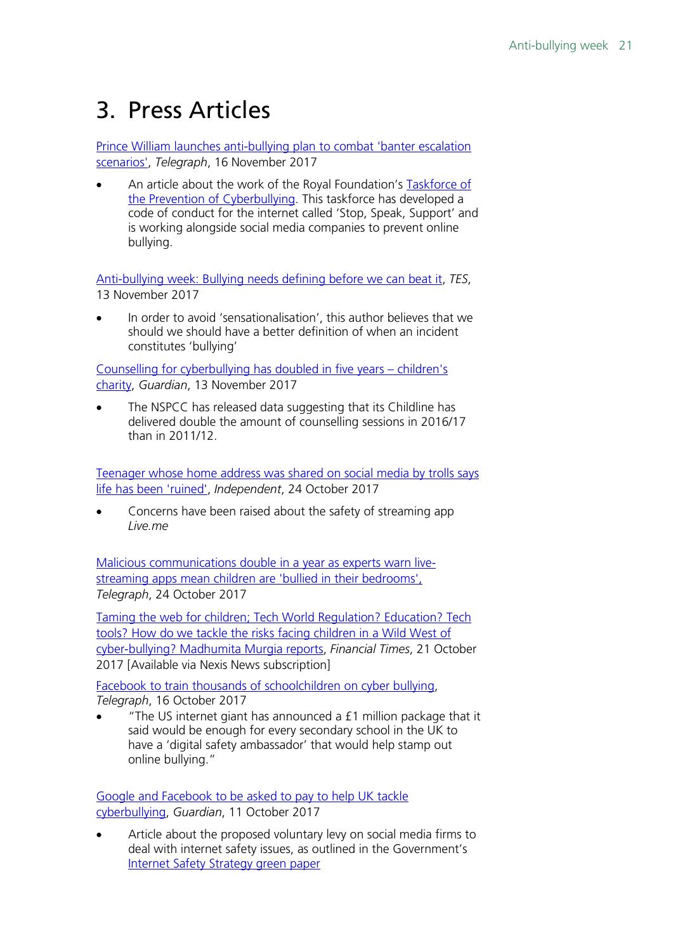## <span id="page-20-0"></span>3. Press Articles

[Prince William launches anti-bullying plan to combat 'banter escalation](http://www.telegraph.co.uk/news/2017/11/16/prince-william-launches-anti-bullying-plan-combat-banter-escalation/)  [scenarios',](http://www.telegraph.co.uk/news/2017/11/16/prince-william-launches-anti-bullying-plan-combat-banter-escalation/) *Telegraph*, 16 November 2017

An article about the work of the Royal Foundation's **Taskforce of** [the Prevention of Cyberbullying.](http://www.royalfoundation.com/our-work/cyberbullying/) This taskforce has developed a code of conduct for the internet called 'Stop, Speak, Support' and is working alongside social media companies to prevent online bullying.

[Anti-bullying week: Bullying needs defining before we can beat it,](https://www.tes.com/news/school-news/breaking-views/anti-bullying-week-bullying-needs-defining-we-can-beat-it) *TES*, 13 November 2017

In order to avoid 'sensationalisation', this author believes that we should we should have a better definition of when an incident constitutes 'bullying'

[Counselling for cyberbullying has doubled in five years –](https://www.theguardian.com/society/2017/nov/13/counselling-for-cyberbullying-has-doubled-in-five-years-childrens-charity) children's [charity,](https://www.theguardian.com/society/2017/nov/13/counselling-for-cyberbullying-has-doubled-in-five-years-childrens-charity) *Guardian*, 13 November 2017

The NSPCC has released data suggesting that its Childline has delivered double the amount of counselling sessions in 2016/17 than in 2011/12.

[Teenager whose home address was shared on social media by trolls says](http://www.independent.co.uk/news/uk/home-news/teenager-home-address-shared-social-media-trolls-cyber-bullies-life-ruined-leeds-a8017541.html)  [life has been 'ruined',](http://www.independent.co.uk/news/uk/home-news/teenager-home-address-shared-social-media-trolls-cyber-bullies-life-ruined-leeds-a8017541.html) *Independent*, 24 October 2017

• Concerns have been raised about the safety of streaming app *Live.me*

[Malicious communications double in a year as experts warn live](http://www.telegraph.co.uk/news/2017/10/24/malicious-communications-double-year-experts-warn-live-streaming/)[streaming apps mean children are 'bullied in their bedrooms',](http://www.telegraph.co.uk/news/2017/10/24/malicious-communications-double-year-experts-warn-live-streaming/) *Telegraph*, 24 October 2017

Taming the web for children; [Tech World Regulation? Education? Tech](https://www.lexisnexis.com/clients/housesofparliament/?lni=5PS6-HX41-JBVM-Y109&csi=222278,8109,138620,8200,143296,334988,5859,389195&oc=00240&perma=true)  [tools? How do we tackle the risks facing children in a Wild West of](https://www.lexisnexis.com/clients/housesofparliament/?lni=5PS6-HX41-JBVM-Y109&csi=222278,8109,138620,8200,143296,334988,5859,389195&oc=00240&perma=true)  [cyber-bullying? Madhumita Murgia reports,](https://www.lexisnexis.com/clients/housesofparliament/?lni=5PS6-HX41-JBVM-Y109&csi=222278,8109,138620,8200,143296,334988,5859,389195&oc=00240&perma=true) *Financial Times*, 21 October 2017 [Available via Nexis News subscription]

Facebook to train thousands of schoolchildren on cyber bullving. *Telegraph*, 16 October 2017

• "The US internet giant has announced a £1 million package that it said would be enough for every secondary school in the UK to have a 'digital safety ambassador' that would help stamp out online bullying."

[Google and Facebook to be asked to pay to help UK tackle](https://www.theguardian.com/technology/2017/oct/11/google-and-facebook-to-be-asked-to-pay-to-help-tackle-cyberbullying)  [cyberbullying,](https://www.theguardian.com/technology/2017/oct/11/google-and-facebook-to-be-asked-to-pay-to-help-tackle-cyberbullying) *Guardian*, 11 October 2017

Article about the proposed voluntary levy on social media firms to deal with internet safety issues, as outlined in the Government's [Internet Safety Strategy green paper](https://www.gov.uk/government/consultations/internet-safety-strategy-green-paper)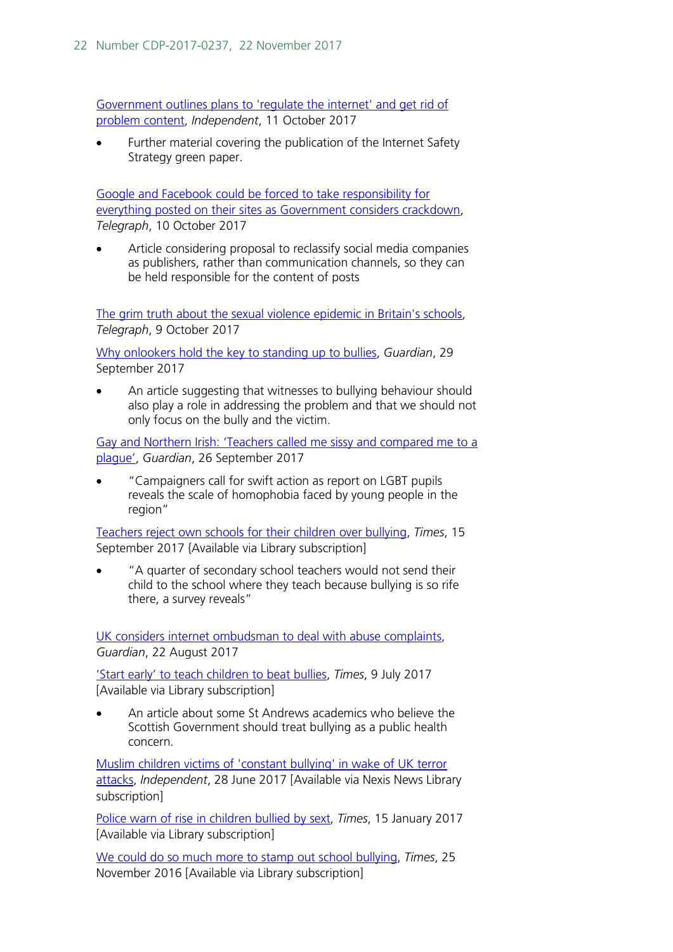[Government outlines plans to 'regulate the internet' and get rid of](http://www.independent.co.uk/life-style/gadgets-and-tech/news/internet-regulation-twitter-facebook-theresa-may-karen-bradley-social-media-levy-a7994131.html)  [problem content,](http://www.independent.co.uk/life-style/gadgets-and-tech/news/internet-regulation-twitter-facebook-theresa-may-karen-bradley-social-media-levy-a7994131.html) *Independent*, 11 October 2017

Further material covering the publication of the Internet Safety Strategy green paper.

[Google and Facebook could be forced to take responsibility for](http://www.telegraph.co.uk/news/2017/10/11/google-facebook-could-forced-take-responsibility-everything/)  [everything posted on their sites as Government considers crackdown,](http://www.telegraph.co.uk/news/2017/10/11/google-facebook-could-forced-take-responsibility-everything/) *Telegraph*, 10 October 2017

Article considering proposal to reclassify social media companies as publishers, rather than communication channels, so they can be held responsible for the content of posts

[The grim truth about the sexual violence epidemic in Britain's schools,](http://www.telegraph.co.uk/women/life/grim-truth-sexual-violence-epidemic-britains-schools/) *Telegraph*, 9 October 2017

[Why onlookers hold the key to](https://www.theguardian.com/lifeandstyle/2017/sep/29/why-onlookers-hold-the-key-to-standing-up-to-bullies) standing up to bullies, *Guardian*, 29 September 2017

An article suggesting that witnesses to bullying behaviour should also play a role in addressing the problem and that we should not only focus on the bully and the victim.

[Gay and Northern Irish: 'Teachers called me sissy and compared me to a](https://www.theguardian.com/education/2017/sep/26/gay-northern-irish-schools-sissy-report-lgbt-pupils-homophobia)  [plague',](https://www.theguardian.com/education/2017/sep/26/gay-northern-irish-schools-sissy-report-lgbt-pupils-homophobia) *Guardian*, 26 September 2017

• "Campaigners call for swift action as report on LGBT pupils reveals the scale of homophobia faced by young people in the region"

[Teachers reject own schools for their children over bullying,](https://www.thetimes.co.uk/article/teachers-reject-schools-for-own-children-over-bullying-zrr0c0jfq) *Times*, 15 September 2017 {Available via Library subscription]

• "A quarter of secondary school teachers would not send their child to the school where they teach because bullying is so rife there, a survey reveals"

[UK considers internet ombudsman to deal with abuse complaints,](https://www.theguardian.com/technology/2017/aug/22/uk-considers-internet-ombudsman-to-deal-with-abuse-complaints) *Guardian*, 22 August 2017

['Start early' to teach children to beat bullies,](https://www.thetimes.co.uk/article/start-early-to-teach-children-to-beat-bullies-vcz2gplvd) *Times*, 9 July 2017 [Available via Library subscription]

• An article about some St Andrews academics who believe the Scottish Government should treat bullying as a public health concern.

[Muslim children victims of 'constant bullying'](https://www.lexisnexis.com/clients/housesofparliament/?lni=5NWP-9101-JCS0-D4WD&csi=222278,8109,138620,8200,143296,334988,5859,389195&oc=00240&perma=true) in wake of UK terror [attacks,](https://www.lexisnexis.com/clients/housesofparliament/?lni=5NWP-9101-JCS0-D4WD&csi=222278,8109,138620,8200,143296,334988,5859,389195&oc=00240&perma=true) *Independent*, 28 June 2017 [Available via Nexis News Library subscription]

[Police warn of rise in children bullied by](https://www.thetimes.co.uk/article/police-warn-of-rise-in-children-bullied-by-sext-ljzvfd6f8) sext, *Times*, 15 January 2017 [Available via Library subscription]

[We could do so much more to stamp out school bullying,](https://www.thetimes.co.uk/article/we-could-do-so-much-more-to-stamp-out-school-bullying-b28lnlrtg) *Times*, 25 November 2016 [Available via Library subscription]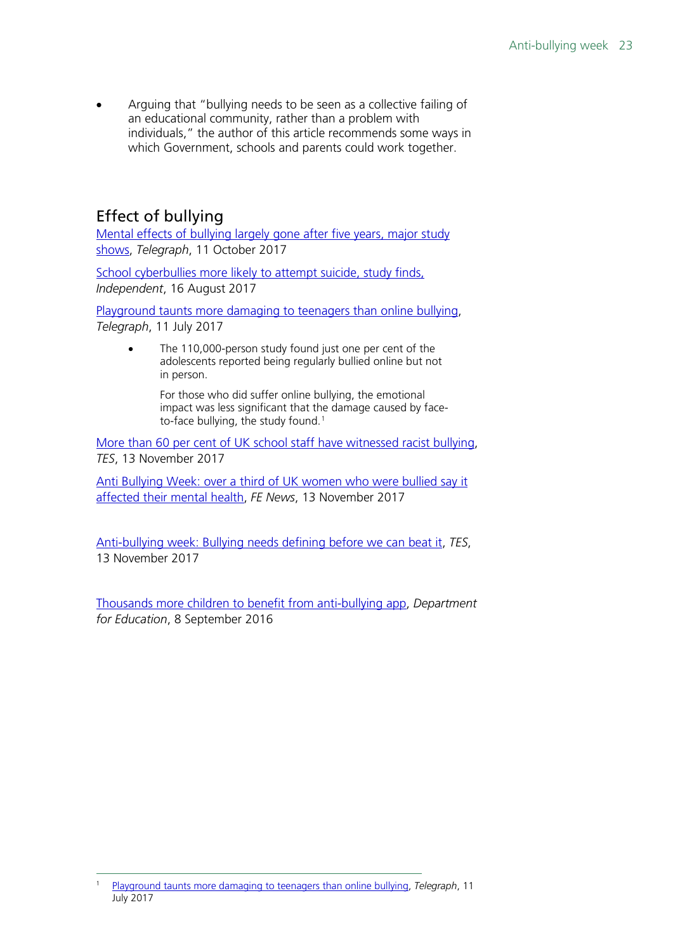• Arguing that "bullying needs to be seen as a collective failing of an educational community, rather than a problem with individuals," the author of this article recommends some ways in which Government, schools and parents could work together.

## <span id="page-22-0"></span>Effect of bullying

[Mental effects of bullying largely gone after five years, major study](http://www.telegraph.co.uk/science/2017/10/11/mental-effects-bullying-largely-gone-five-years-major-study/)  [shows,](http://www.telegraph.co.uk/science/2017/10/11/mental-effects-bullying-largely-gone-five-years-major-study/) *Telegraph*, 11 October 2017

[School cyberbullies more likely to attempt suicide, study finds,](http://www.independent.co.uk/news/education/education-news/school-cyberbullies-attempt-suicide-thoughts-kill-themselves-study-social-media-messages-a7895731.html) *Independent*, 16 August 2017

[Playground taunts more damaging to teenagers than online bullying,](http://www.telegraph.co.uk/news/2017/07/11/cyber-bullying-vanishingly-rare-major-new-report/) *Telegraph*, 11 July 2017

> The 110,000-person study found just one per cent of the adolescents reported being regularly bullied online but not in person.

For those who did suffer online bullying, the emotional impact was less significant that the damage caused by face-to-face bullying, the study found.<sup>[1](#page-22-1)</sup>

[More than 60 per cent of UK school staff have witnessed racist bullying,](https://www.tes.com/news/school-news/breaking-news/more-60-cent-uk-school-staff-have-witnessed-racist-bullying) *TES*, 13 November 2017

[Anti Bullying Week: over a third of UK women who were](https://www.fenews.co.uk/press-releases/15315-anti-bullying-week-over-a-third-of-uk-women-who-were-bullied-say-it-affected-their-mental-health) bullied say it affected their [mental health,](https://www.fenews.co.uk/press-releases/15315-anti-bullying-week-over-a-third-of-uk-women-who-were-bullied-say-it-affected-their-mental-health) *FE News*, 13 November 2017

[Anti-bullying week: Bullying needs defining before we can beat it,](https://www.tes.com/news/school-news/breaking-views/anti-bullying-week-bullying-needs-defining-we-can-beat-it) *TES*, 13 November 2017

[Thousands more children to benefit from anti-bullying app,](https://www.gov.uk/government/news/thousands-more-children-to-benefit-from-anti-bullying-app) *Department for Education*, 8 September 2016

<span id="page-22-1"></span> <sup>1</sup> [Playground taunts more damaging to teenagers than online bullying,](http://www.telegraph.co.uk/news/2017/07/11/cyber-bullying-vanishingly-rare-major-new-report/) *Telegraph*, 11 July 2017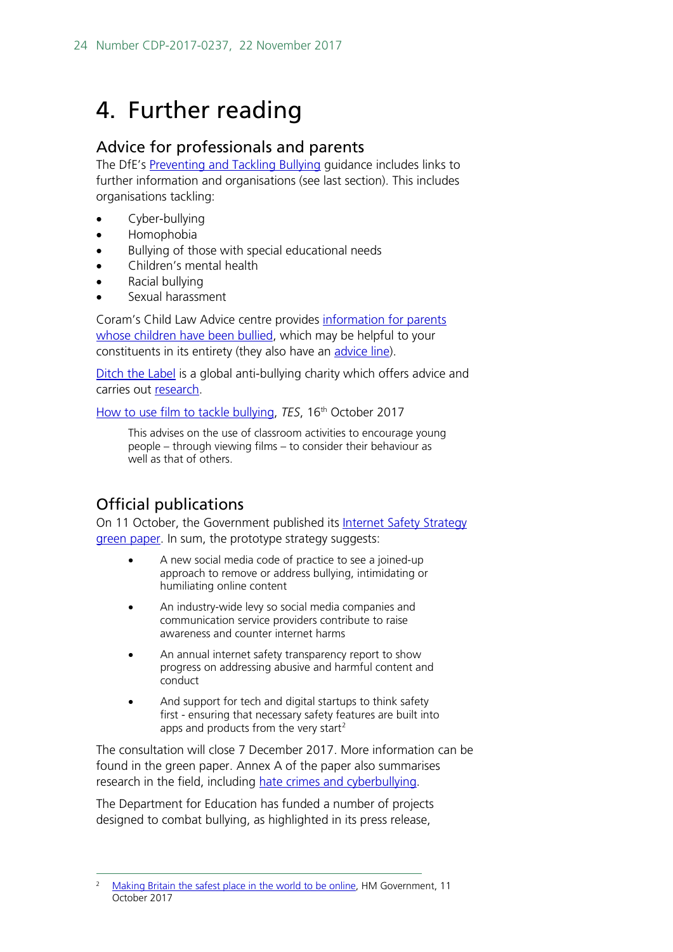## <span id="page-23-0"></span>4. Further reading

### <span id="page-23-1"></span>Advice for professionals and parents

The DfE's [Preventing and Tackling Bullying](https://www.gov.uk/government/uploads/system/uploads/attachment_data/file/444862/Preventing_and_tackling_bullying_advice.pdf) guidance includes links to further information and organisations (see last section). This includes organisations tackling:

- Cyber-bullvina
- Homophobia
- Bullying of those with special educational needs
- Children's mental health
- Racial bullying
- Sexual harassment

Coram's Child Law Advice centre provides [information for parents](http://childlawadvice.org.uk/information-pages/bullying/)  [whose children have been bullied,](http://childlawadvice.org.uk/information-pages/bullying/) which may be helpful to your constituents in its entirety (they also have an [advice line\)](http://childlawadvice.org.uk/clas/contact-child-law-advice/).

[Ditch the Label](https://www.ditchthelabel.org/about/) is a global anti-bullying charity which offers advice and carries out [research.](https://www.ditchthelabel.org/research-papers/)

[How to use film to tackle bullying,](https://www.tes.com/news/school-news/breaking-views/how-use-film-tackle-bullying) *TES*, 16th October 2017

This advises on the use of classroom activities to encourage young people – through viewing films – to consider their behaviour as well as that of others.

## <span id="page-23-2"></span>Official publications

On 11 October, the Government published its Internet Safety Strategy [green paper.](https://www.gov.uk/government/uploads/system/uploads/attachment_data/file/650949/Internet_Safety_Strategy_green_paper.pdf) In sum, the prototype strategy suggests:

- A new social media code of practice to see a joined-up approach to remove or address bullying, intimidating or humiliating online content
- An industry-wide levy so social media companies and communication service providers contribute to raise awareness and counter internet harms
- An annual internet safety transparency report to show progress on addressing abusive and harmful content and conduct
- And support for tech and digital startups to think safety first - ensuring that necessary safety features are built into apps and products from the very start<sup>[2](#page-23-3)</sup>

The consultation will close 7 December 2017. More information can be found in the green paper. Annex A of the paper also summarises research in the field, including [hate crimes and cyberbullying.](https://www.gov.uk/government/uploads/system/uploads/attachment_data/file/650949/Internet_Safety_Strategy_green_paper.pdf#page=52)

The Department for Education has funded a number of projects designed to combat bullying, as highlighted in its press release,

<span id="page-23-3"></span> <sup>2</sup> [Making Britain the safest place in the world to be online,](https://www.gov.uk/government/news/making-britain-the-safest-place-in-the-world-to-be-online) HM Government, 11 October 2017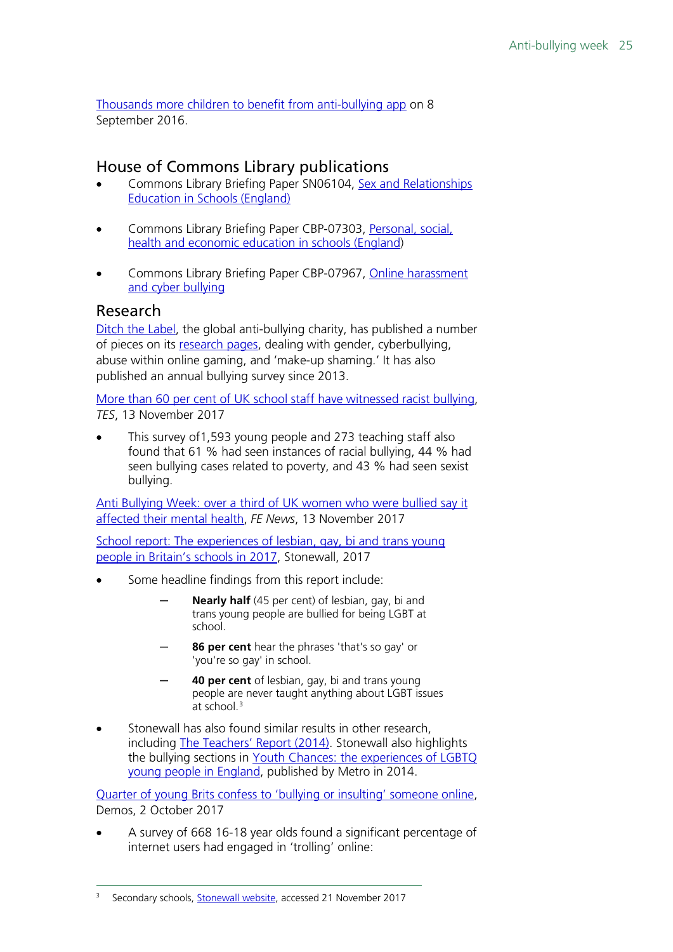[Thousands more children to benefit from anti-bullying app](https://www.gov.uk/government/news/thousands-more-children-to-benefit-from-anti-bullying-app) on 8 September 2016.

### <span id="page-24-0"></span>House of Commons Library publications

- Commons Library Briefing Paper SN06104, [Sex and Relationships](http://researchbriefings.parliament.uk/ResearchBriefing/Summary/SN06103)  [Education in Schools \(England\)](http://researchbriefings.parliament.uk/ResearchBriefing/Summary/SN06103)
- Commons Library Briefing Paper CBP-07303, [Personal, social,](http://researchbriefings.parliament.uk/ResearchBriefing/Summary/CBP-7303)  [health and economic education in schools \(England\)](http://researchbriefings.parliament.uk/ResearchBriefing/Summary/CBP-7303)
- Commons Library Briefing Paper CBP-07967, [Online harassment](http://researchbriefings.parliament.uk/ResearchBriefing/Summary/CBP-7967)  [and cyber bullying](http://researchbriefings.parliament.uk/ResearchBriefing/Summary/CBP-7967)

### <span id="page-24-1"></span>Research

[Ditch the Label,](https://www.ditchthelabel.org/about/) the global anti-bullying charity, has published a number of pieces on its [research pages,](https://www.ditchthelabel.org/research-papers/) dealing with gender, cyberbullying, abuse within online gaming, and 'make-up shaming.' It has also published an annual bullying survey since 2013.

[More than 60 per cent of UK school staff have witnessed racist bullying,](https://www.tes.com/news/school-news/breaking-news/more-60-cent-uk-school-staff-have-witnessed-racist-bullying) *TES*, 13 November 2017

This survey of 1,593 young people and 273 teaching staff also found that 61 % had seen instances of racial bullying, 44 % had seen bullying cases related to poverty, and 43 % had seen sexist bullying.

[Anti Bullying Week: over a third of UK women who were](https://www.fenews.co.uk/press-releases/15315-anti-bullying-week-over-a-third-of-uk-women-who-were-bullied-say-it-affected-their-mental-health) bullied say it affected their [mental health,](https://www.fenews.co.uk/press-releases/15315-anti-bullying-week-over-a-third-of-uk-women-who-were-bullied-say-it-affected-their-mental-health) *FE News*, 13 November 2017

[School report: The experiences of lesbian, gay, bi and trans young](http://www.stonewall.org.uk/sites/default/files/the_school_report_2017.pdf)  [people in Britain's schools in 2017,](http://www.stonewall.org.uk/sites/default/files/the_school_report_2017.pdf) Stonewall, 2017

- Some headline findings from this report include:
	- Nearly half (45 per cent) of lesbian, gay, bi and trans young people are bullied for being LGBT at school.
	- **86 per cent** hear the phrases 'that's so gay' or 'you're so gay' in school.
	- **40 per cent** of lesbian, gay, bi and trans young people are never taught anything about LGBT issues  $at$  school.<sup>[3](#page-24-2)</sup>
- Stonewall has also found similar results in other research, including [The Teachers' Report \(2014\).](http://www.stonewall.org.uk/sites/default/files/teachers_report_2014.pdf) Stonewall also highlights the bullying sections in Youth Chances: the experiences of LGBTQ [young people in England,](http://www.mermaidsuk.org.uk/assets/media/youth%20chances%20experiencies%20og%20lgbt%20youth_2014.pdf) published by Metro in 2014.

[Quarter of young Brits confess to 'bullying or insulting' someone online,](https://www.demos.co.uk/press-release/quarter-of-young-brits-confess-to-bullying-or-insulting-someone-online/) Demos, 2 October 2017

• A survey of 668 16-18 year olds found a significant percentage of internet users had engaged in 'trolling' online:

<span id="page-24-2"></span> <sup>3</sup> Secondary schools, [Stonewall website,](http://www.stonewall.org.uk/get-involved/education/secondary-schools) accessed 21 November 2017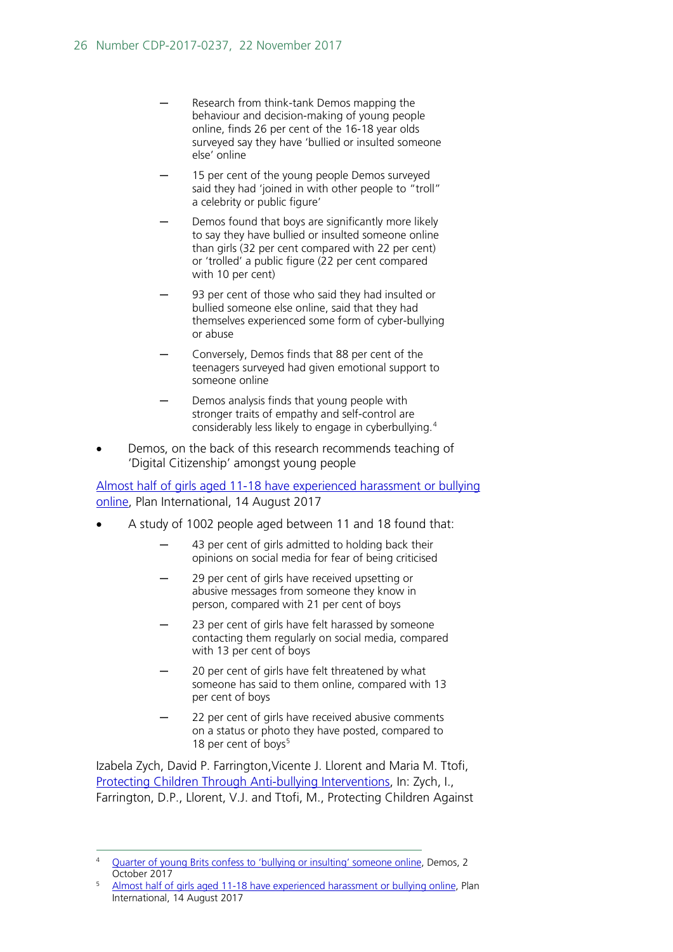- Research from think-tank Demos mapping the behaviour and decision-making of young people online, finds 26 per cent of the 16-18 year olds surveyed say they have 'bullied or insulted someone else' online
- 15 per cent of the young people Demos surveyed said they had 'joined in with other people to "troll" a celebrity or public figure'
- Demos found that boys are significantly more likely to say they have bullied or insulted someone online than girls (32 per cent compared with 22 per cent) or 'trolled' a public figure (22 per cent compared with 10 per cent)
- 93 per cent of those who said they had insulted or bullied someone else online, said that they had themselves experienced some form of cyber-bullying or abuse
- Conversely, Demos finds that 88 per cent of the teenagers surveyed had given emotional support to someone online
- Demos analysis finds that young people with stronger traits of empathy and self-control are considerably less likely to engage in cyberbullying.[4](#page-25-0)
- Demos, on the back of this research recommends teaching of 'Digital Citizenship' amongst young people

[Almost half of girls aged 11-18 have experienced harassment or bullying](https://plan-uk.org/media-centre/almost-half-of-girls-aged-11-18-have-experienced-harassment-or-bullying-online)  [online,](https://plan-uk.org/media-centre/almost-half-of-girls-aged-11-18-have-experienced-harassment-or-bullying-online) Plan International, 14 August 2017

- A study of 1002 people aged between 11 and 18 found that:
	- 43 per cent of girls admitted to holding back their opinions on social media for fear of being criticised
	- 29 per cent of girls have received upsetting or abusive messages from someone they know in person, compared with 21 per cent of boys
	- 23 per cent of girls have felt harassed by someone contacting them regularly on social media, compared with 13 per cent of boys
	- 20 per cent of girls have felt threatened by what someone has said to them online, compared with 13 per cent of boys
	- 22 per cent of girls have received abusive comments on a status or photo they have posted, compared to 18 per cent of boys<sup>[5](#page-25-1)</sup>

Izabela Zych, David P. Farrington,Vicente J. Llorent and Maria M. Ttofi, [Protecting Children Through Anti-bullying Interventions,](https://link.springer.com/chapter/10.1007/978-3-319-53028-4_5#citeas) In: Zych, I., Farrington, D.P., Llorent, V.J. and Ttofi, M., Protecting Children Against

<span id="page-25-0"></span> <sup>4</sup> [Quarter of young Brits confess to 'bullying or insulting' someone online,](https://www.demos.co.uk/press-release/quarter-of-young-brits-confess-to-bullying-or-insulting-someone-online/) Demos, 2 October 2017

<span id="page-25-1"></span><sup>5</sup> [Almost half of girls aged 11-18 have experienced harassment or bullying online,](https://plan-uk.org/media-centre/almost-half-of-girls-aged-11-18-have-experienced-harassment-or-bullying-online) Plan International, 14 August 2017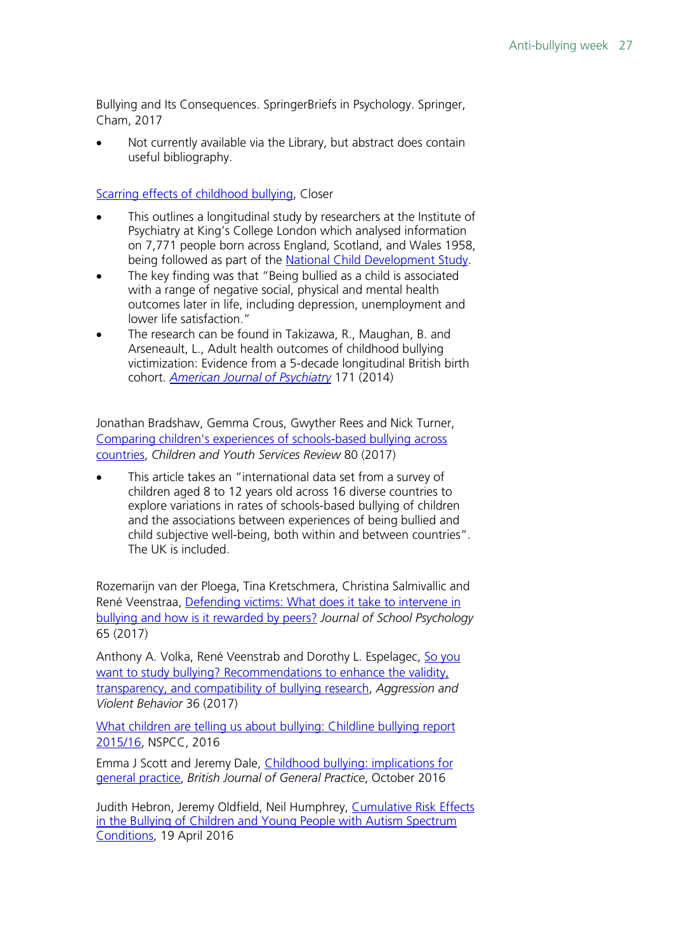Bullying and Its Consequences. SpringerBriefs in Psychology. Springer, Cham, 2017

Not currently available via the Library, but abstract does contain useful bibliography.

[Scarring effects of childhood bullying,](https://learning.closer.ac.uk/evidence/long-term-effects-of-childhood-bullying/) Closer

- This outlines a longitudinal study by researchers at the Institute of Psychiatry at King's College London which analysed information on 7,771 people born across England, Scotland, and Wales 1958, being followed as part of the [National Child Development Study.](http://www.closer.ac.uk/study/1958-national-child-development-study/)
- The key finding was that "Being bullied as a child is associated with a range of negative social, physical and mental health outcomes later in life, including depression, unemployment and lower life satisfaction."
- The research can be found in Takizawa, R., Maughan, B. and Arseneault, L., Adult health outcomes of childhood bullying victimization: Evidence from a 5-decade longitudinal British birth cohort. *[American Journal of Psychiatry](http://dx.doi.org/10.1176/appi.ajp.2014.13101401)* 171 (2014)

Jonathan Bradshaw, Gemma Crous, Gwyther Rees and Nick Turner, [Comparing children's experiences of schools-based bullying across](https://ac.els-cdn.com/S019074091730539X/1-s2.0-S019074091730539X-main.pdf?_tid=4d0f30da-cee5-11e7-9661-00000aacb360&acdnat=1511287169_372a9d54c373da91875b76587ea23177)  [countries,](https://ac.els-cdn.com/S019074091730539X/1-s2.0-S019074091730539X-main.pdf?_tid=4d0f30da-cee5-11e7-9661-00000aacb360&acdnat=1511287169_372a9d54c373da91875b76587ea23177) *Children and Youth Services Review* 80 (2017)

This article takes an "international data set from a survey of children aged 8 to 12 years old across 16 diverse countries to explore variations in rates of schools-based bullying of children and the associations between experiences of being bullied and child subjective well-being, both within and between countries". The UK is included.

Rozemarijn van der Ploega, Tina Kretschmera, Christina Salmivallic and René Veenstraa, [Defending victims: What does it take to intervene in](https://ac.els-cdn.com/S0022440517300754/1-s2.0-S0022440517300754-main.pdf?_tid=c3373db6-cee5-11e7-8eda-00000aab0f27&acdnat=1511287368_e9e59b02326550d88aef1af4f485758e)  [bullying and how is it rewarded by peers?](https://ac.els-cdn.com/S0022440517300754/1-s2.0-S0022440517300754-main.pdf?_tid=c3373db6-cee5-11e7-8eda-00000aab0f27&acdnat=1511287368_e9e59b02326550d88aef1af4f485758e) *Journal of School Psychology* 65 (2017)

Anthony A. Volka, René Veenstrab and Dorothy L. Espelagec, [So you](https://ac.els-cdn.com/S1359178917302112/1-s2.0-S1359178917302112-main.pdf?_tid=c50c8e0c-cee5-11e7-9ece-00000aab0f6b&acdnat=1511287371_703d1f30fab1fd154b88ff41c0ca0c80)  [want to study bullying? Recommendations to enhance the validity,](https://ac.els-cdn.com/S1359178917302112/1-s2.0-S1359178917302112-main.pdf?_tid=c50c8e0c-cee5-11e7-9ece-00000aab0f6b&acdnat=1511287371_703d1f30fab1fd154b88ff41c0ca0c80)  [transparency, and compatibility of bullying research,](https://ac.els-cdn.com/S1359178917302112/1-s2.0-S1359178917302112-main.pdf?_tid=c50c8e0c-cee5-11e7-9ece-00000aab0f6b&acdnat=1511287371_703d1f30fab1fd154b88ff41c0ca0c80) *Aggression and Violent Behavior* 36 (2017)

[What children are telling us about bullying: Childline bullying report](https://www.nspcc.org.uk/globalassets/documents/research-reports/what-children-are-telling-us-about-bullying-childline-bullying-report-2015-16.pdf)  [2015/16,](https://www.nspcc.org.uk/globalassets/documents/research-reports/what-children-are-telling-us-about-bullying-childline-bullying-report-2015-16.pdf) NSPCC, 2016

Emma J Scott and Jeremy Dale, [Childhood bullying: implications for](http://bjgp.org/content/bjgp/66/651/504.full.pdf)  [general practice,](http://bjgp.org/content/bjgp/66/651/504.full.pdf) *British Journal of General Practice*, October 2016

Judith Hebron, Jeremy Oldfield, Neil Humphrey, [Cumulative Risk Effects](https://e-space.mmu.ac.uk/617016/1/Cumulative%20Risk%20Bullying.pdf)  [in the Bullying of Children and Young People with Autism Spectrum](https://e-space.mmu.ac.uk/617016/1/Cumulative%20Risk%20Bullying.pdf)  [Conditions,](https://e-space.mmu.ac.uk/617016/1/Cumulative%20Risk%20Bullying.pdf) 19 April 2016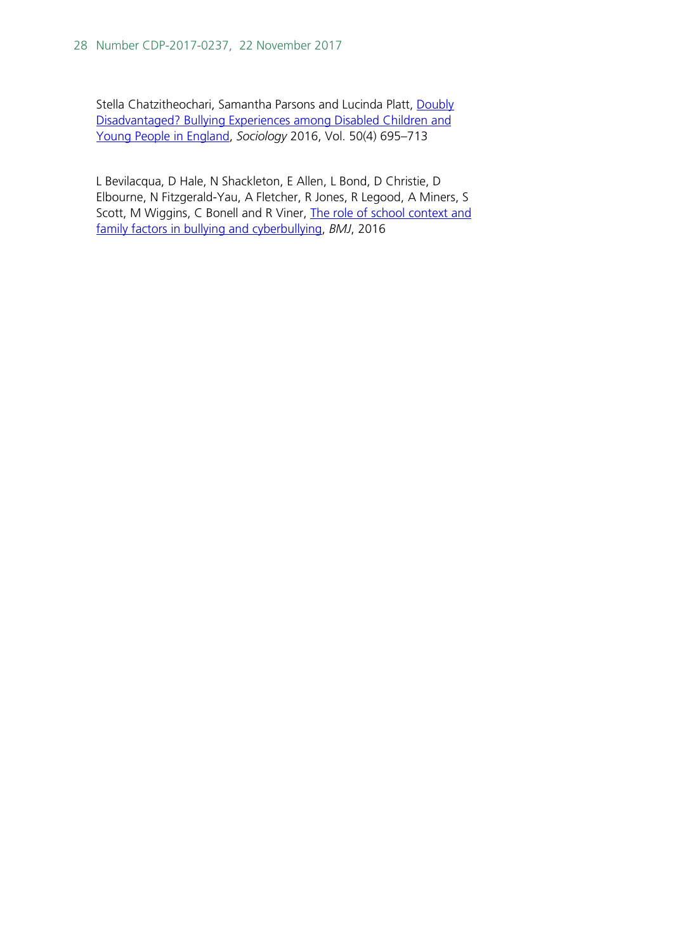Stella Chatzitheochari, Samantha Parsons and Lucinda Platt, Doubly [Disadvantaged? Bullying Experiences among Disabled Children and](http://journals.sagepub.com/doi/pdf/10.1177/0038038515574813)  [Young People in England,](http://journals.sagepub.com/doi/pdf/10.1177/0038038515574813) *Sociology* 2016, Vol. 50(4) 695–713

L Bevilacqua, D Hale, N Shackleton, E Allen, L Bond, D Christie, D Elbourne, N Fitzgerald-Yau, A Fletcher, R Jones, R Legood, A Miners, S Scott, M Wiggins, C Bonell and R Viner, The role of school context and [family factors in bullying and cyberbullying,](http://adc.bmj.com/content/101/Suppl_1/A55.1) *BMJ*, 2016